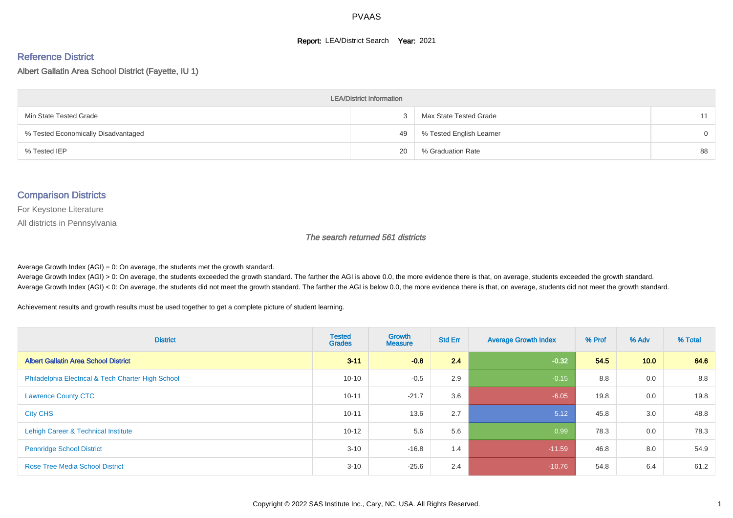#### **Report: LEA/District Search Year: 2021**

#### Reference District

Albert Gallatin Area School District (Fayette, IU 1)

| <b>LEA/District Information</b>     |    |                          |          |  |  |  |  |  |  |  |
|-------------------------------------|----|--------------------------|----------|--|--|--|--|--|--|--|
| Min State Tested Grade              |    | Max State Tested Grade   | 11       |  |  |  |  |  |  |  |
| % Tested Economically Disadvantaged | 49 | % Tested English Learner | $\Omega$ |  |  |  |  |  |  |  |
| % Tested IEP                        | 20 | % Graduation Rate        | 88       |  |  |  |  |  |  |  |

#### Comparison Districts

For Keystone Literature

All districts in Pennsylvania

The search returned 561 districts

Average Growth Index  $(AGI) = 0$ : On average, the students met the growth standard.

Average Growth Index (AGI) > 0: On average, the students exceeded the growth standard. The farther the AGI is above 0.0, the more evidence there is that, on average, students exceeded the growth standard. Average Growth Index (AGI) < 0: On average, the students did not meet the growth standard. The farther the AGI is below 0.0, the more evidence there is that, on average, students did not meet the growth standard.

Achievement results and growth results must be used together to get a complete picture of student learning.

| <b>District</b>                                    | <b>Tested</b><br><b>Grades</b> | Growth<br><b>Measure</b> | <b>Std Err</b> | <b>Average Growth Index</b> | % Prof | % Adv | % Total |
|----------------------------------------------------|--------------------------------|--------------------------|----------------|-----------------------------|--------|-------|---------|
| <b>Albert Gallatin Area School District</b>        | $3 - 11$                       | $-0.8$                   | 2.4            | $-0.32$                     | 54.5   | 10.0  | 64.6    |
| Philadelphia Electrical & Tech Charter High School | $10 - 10$                      | $-0.5$                   | 2.9            | $-0.15$                     | 8.8    | 0.0   | 8.8     |
| <b>Lawrence County CTC</b>                         | $10 - 11$                      | $-21.7$                  | 3.6            | $-6.05$                     | 19.8   | 0.0   | 19.8    |
| <b>City CHS</b>                                    | $10 - 11$                      | 13.6                     | 2.7            | 5.12                        | 45.8   | 3.0   | 48.8    |
| Lehigh Career & Technical Institute                | $10 - 12$                      | 5.6                      | 5.6            | 0.99                        | 78.3   | 0.0   | 78.3    |
| <b>Pennridge School District</b>                   | $3 - 10$                       | $-16.8$                  | 1.4            | $-11.59$                    | 46.8   | 8.0   | 54.9    |
| <b>Rose Tree Media School District</b>             | $3 - 10$                       | $-25.6$                  | 2.4            | $-10.76$                    | 54.8   | 6.4   | 61.2    |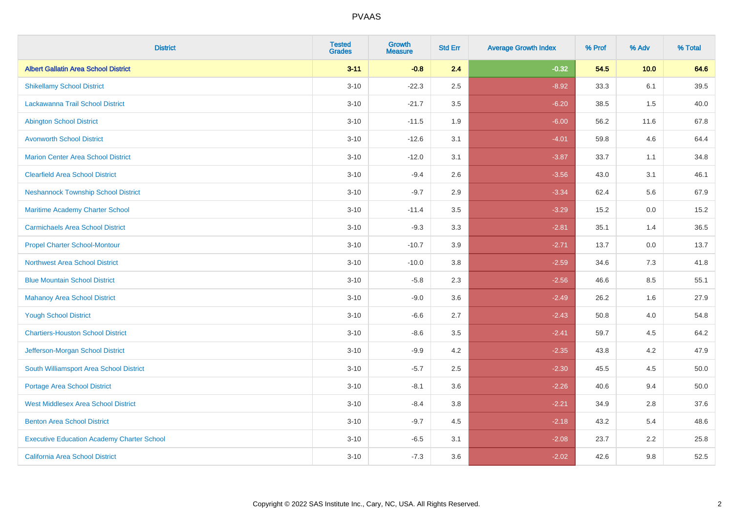| <b>District</b>                                   | <b>Tested</b><br><b>Grades</b> | <b>Growth</b><br><b>Measure</b> | <b>Std Err</b> | <b>Average Growth Index</b> | % Prof | % Adv | % Total  |
|---------------------------------------------------|--------------------------------|---------------------------------|----------------|-----------------------------|--------|-------|----------|
| <b>Albert Gallatin Area School District</b>       | $3 - 11$                       | $-0.8$                          | 2.4            | $-0.32$                     | 54.5   | 10.0  | 64.6     |
| <b>Shikellamy School District</b>                 | $3 - 10$                       | $-22.3$                         | 2.5            | $-8.92$                     | 33.3   | 6.1   | 39.5     |
| Lackawanna Trail School District                  | $3 - 10$                       | $-21.7$                         | 3.5            | $-6.20$                     | 38.5   | 1.5   | 40.0     |
| <b>Abington School District</b>                   | $3 - 10$                       | $-11.5$                         | 1.9            | $-6.00$                     | 56.2   | 11.6  | 67.8     |
| <b>Avonworth School District</b>                  | $3 - 10$                       | $-12.6$                         | 3.1            | $-4.01$                     | 59.8   | 4.6   | 64.4     |
| <b>Marion Center Area School District</b>         | $3 - 10$                       | $-12.0$                         | 3.1            | $-3.87$                     | 33.7   | 1.1   | 34.8     |
| <b>Clearfield Area School District</b>            | $3 - 10$                       | $-9.4$                          | 2.6            | $-3.56$                     | 43.0   | 3.1   | 46.1     |
| <b>Neshannock Township School District</b>        | $3 - 10$                       | $-9.7$                          | 2.9            | $-3.34$                     | 62.4   | 5.6   | 67.9     |
| <b>Maritime Academy Charter School</b>            | $3 - 10$                       | $-11.4$                         | 3.5            | $-3.29$                     | 15.2   | 0.0   | 15.2     |
| <b>Carmichaels Area School District</b>           | $3 - 10$                       | $-9.3$                          | 3.3            | $-2.81$                     | 35.1   | 1.4   | 36.5     |
| <b>Propel Charter School-Montour</b>              | $3 - 10$                       | $-10.7$                         | 3.9            | $-2.71$                     | 13.7   | 0.0   | 13.7     |
| Northwest Area School District                    | $3 - 10$                       | $-10.0$                         | 3.8            | $-2.59$                     | 34.6   | 7.3   | 41.8     |
| <b>Blue Mountain School District</b>              | $3 - 10$                       | $-5.8$                          | 2.3            | $-2.56$                     | 46.6   | 8.5   | 55.1     |
| <b>Mahanoy Area School District</b>               | $3 - 10$                       | $-9.0$                          | 3.6            | $-2.49$                     | 26.2   | 1.6   | 27.9     |
| <b>Yough School District</b>                      | $3 - 10$                       | $-6.6$                          | 2.7            | $-2.43$                     | 50.8   | 4.0   | 54.8     |
| <b>Chartiers-Houston School District</b>          | $3 - 10$                       | $-8.6$                          | 3.5            | $-2.41$                     | 59.7   | 4.5   | 64.2     |
| Jefferson-Morgan School District                  | $3 - 10$                       | $-9.9$                          | 4.2            | $-2.35$                     | 43.8   | 4.2   | 47.9     |
| South Williamsport Area School District           | $3 - 10$                       | $-5.7$                          | 2.5            | $-2.30$                     | 45.5   | 4.5   | $50.0\,$ |
| <b>Portage Area School District</b>               | $3 - 10$                       | $-8.1$                          | 3.6            | $-2.26$                     | 40.6   | 9.4   | 50.0     |
| <b>West Middlesex Area School District</b>        | $3 - 10$                       | $-8.4$                          | 3.8            | $-2.21$                     | 34.9   | 2.8   | 37.6     |
| <b>Benton Area School District</b>                | $3 - 10$                       | $-9.7$                          | 4.5            | $-2.18$                     | 43.2   | 5.4   | 48.6     |
| <b>Executive Education Academy Charter School</b> | $3 - 10$                       | $-6.5$                          | 3.1            | $-2.08$                     | 23.7   | 2.2   | 25.8     |
| <b>California Area School District</b>            | $3 - 10$                       | $-7.3$                          | 3.6            | $-2.02$                     | 42.6   | 9.8   | 52.5     |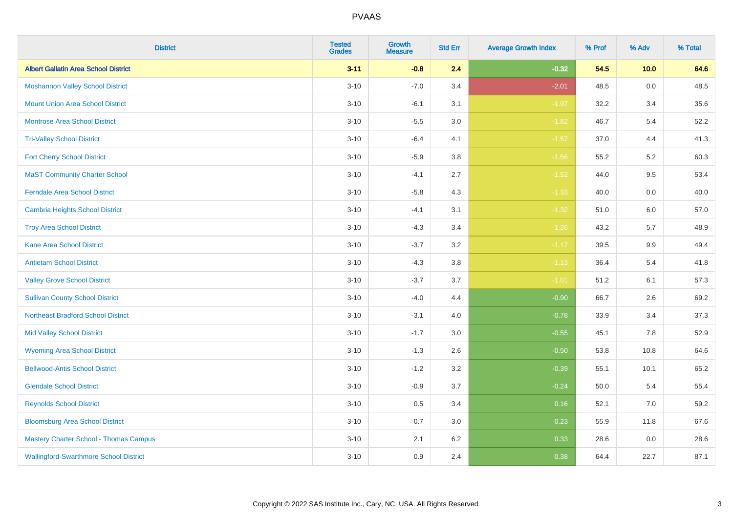| <b>District</b>                               | <b>Tested</b><br><b>Grades</b> | <b>Growth</b><br><b>Measure</b> | <b>Std Err</b> | <b>Average Growth Index</b> | % Prof | % Adv   | % Total |
|-----------------------------------------------|--------------------------------|---------------------------------|----------------|-----------------------------|--------|---------|---------|
| <b>Albert Gallatin Area School District</b>   | $3 - 11$                       | $-0.8$                          | 2.4            | $-0.32$                     | 54.5   | 10.0    | 64.6    |
| <b>Moshannon Valley School District</b>       | $3 - 10$                       | $-7.0$                          | 3.4            | $-2.01$                     | 48.5   | $0.0\,$ | 48.5    |
| <b>Mount Union Area School District</b>       | $3 - 10$                       | $-6.1$                          | 3.1            | $-1.97$                     | 32.2   | 3.4     | 35.6    |
| <b>Montrose Area School District</b>          | $3 - 10$                       | $-5.5$                          | $3.0\,$        | $-1.82$                     | 46.7   | 5.4     | 52.2    |
| <b>Tri-Valley School District</b>             | $3 - 10$                       | $-6.4$                          | 4.1            | $-1.57$                     | 37.0   | 4.4     | 41.3    |
| <b>Fort Cherry School District</b>            | $3 - 10$                       | $-5.9$                          | 3.8            | $-1.56$                     | 55.2   | 5.2     | 60.3    |
| <b>MaST Community Charter School</b>          | $3 - 10$                       | $-4.1$                          | 2.7            | $-1.52$                     | 44.0   | 9.5     | 53.4    |
| <b>Ferndale Area School District</b>          | $3 - 10$                       | $-5.8$                          | 4.3            | $-1.33$                     | 40.0   | 0.0     | 40.0    |
| <b>Cambria Heights School District</b>        | $3 - 10$                       | $-4.1$                          | 3.1            | $-1.32$                     | 51.0   | 6.0     | 57.0    |
| <b>Troy Area School District</b>              | $3 - 10$                       | $-4.3$                          | 3.4            | $-1.26$                     | 43.2   | 5.7     | 48.9    |
| <b>Kane Area School District</b>              | $3 - 10$                       | $-3.7$                          | 3.2            | $-1.17$                     | 39.5   | 9.9     | 49.4    |
| <b>Antietam School District</b>               | $3 - 10$                       | $-4.3$                          | 3.8            | $-1.13$                     | 36.4   | 5.4     | 41.8    |
| <b>Valley Grove School District</b>           | $3 - 10$                       | $-3.7$                          | 3.7            | $-1.01$                     | 51.2   | 6.1     | 57.3    |
| <b>Sullivan County School District</b>        | $3 - 10$                       | $-4.0$                          | 4.4            | $-0.90$                     | 66.7   | 2.6     | 69.2    |
| <b>Northeast Bradford School District</b>     | $3 - 10$                       | $-3.1$                          | 4.0            | $-0.78$                     | 33.9   | 3.4     | 37.3    |
| <b>Mid Valley School District</b>             | $3 - 10$                       | $-1.7$                          | 3.0            | $-0.55$                     | 45.1   | 7.8     | 52.9    |
| <b>Wyoming Area School District</b>           | $3 - 10$                       | $-1.3$                          | 2.6            | $-0.50$                     | 53.8   | 10.8    | 64.6    |
| <b>Bellwood-Antis School District</b>         | $3 - 10$                       | $-1.2$                          | 3.2            | $-0.39$                     | 55.1   | 10.1    | 65.2    |
| <b>Glendale School District</b>               | $3 - 10$                       | $-0.9$                          | 3.7            | $-0.24$                     | 50.0   | 5.4     | 55.4    |
| <b>Reynolds School District</b>               | $3 - 10$                       | 0.5                             | 3.4            | 0.16                        | 52.1   | $7.0\,$ | 59.2    |
| <b>Bloomsburg Area School District</b>        | $3 - 10$                       | 0.7                             | 3.0            | 0.23                        | 55.9   | 11.8    | 67.6    |
| <b>Mastery Charter School - Thomas Campus</b> | $3 - 10$                       | 2.1                             | 6.2            | 0.33                        | 28.6   | 0.0     | 28.6    |
| <b>Wallingford-Swarthmore School District</b> | $3 - 10$                       | 0.9                             | 2.4            | 0.38                        | 64.4   | 22.7    | 87.1    |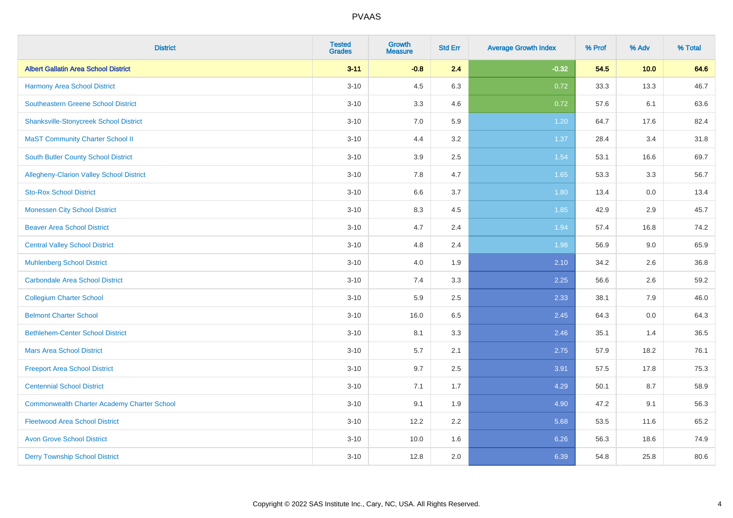| <b>District</b>                                    | <b>Tested</b><br><b>Grades</b> | <b>Growth</b><br><b>Measure</b> | <b>Std Err</b> | <b>Average Growth Index</b> | % Prof | % Adv | % Total |
|----------------------------------------------------|--------------------------------|---------------------------------|----------------|-----------------------------|--------|-------|---------|
| <b>Albert Gallatin Area School District</b>        | $3 - 11$                       | $-0.8$                          | 2.4            | $-0.32$                     | 54.5   | 10.0  | 64.6    |
| Harmony Area School District                       | $3 - 10$                       | 4.5                             | 6.3            | 0.72                        | 33.3   | 13.3  | 46.7    |
| <b>Southeastern Greene School District</b>         | $3 - 10$                       | 3.3                             | 4.6            | 0.72                        | 57.6   | 6.1   | 63.6    |
| <b>Shanksville-Stonycreek School District</b>      | $3 - 10$                       | 7.0                             | 5.9            | 1.20                        | 64.7   | 17.6  | 82.4    |
| <b>MaST Community Charter School II</b>            | $3 - 10$                       | 4.4                             | 3.2            | 1.37                        | 28.4   | 3.4   | 31.8    |
| <b>South Butler County School District</b>         | $3 - 10$                       | 3.9                             | 2.5            | 1.54                        | 53.1   | 16.6  | 69.7    |
| Allegheny-Clarion Valley School District           | $3 - 10$                       | 7.8                             | 4.7            | 1.65                        | 53.3   | 3.3   | 56.7    |
| <b>Sto-Rox School District</b>                     | $3 - 10$                       | 6.6                             | 3.7            | 1.80                        | 13.4   | 0.0   | 13.4    |
| <b>Monessen City School District</b>               | $3 - 10$                       | 8.3                             | 4.5            | 1.85                        | 42.9   | 2.9   | 45.7    |
| <b>Beaver Area School District</b>                 | $3 - 10$                       | 4.7                             | 2.4            | 1.94                        | 57.4   | 16.8  | 74.2    |
| <b>Central Valley School District</b>              | $3 - 10$                       | 4.8                             | 2.4            | 1.98                        | 56.9   | 9.0   | 65.9    |
| <b>Muhlenberg School District</b>                  | $3 - 10$                       | 4.0                             | 1.9            | 2.10                        | 34.2   | 2.6   | 36.8    |
| Carbondale Area School District                    | $3 - 10$                       | 7.4                             | 3.3            | 2.25                        | 56.6   | 2.6   | 59.2    |
| <b>Collegium Charter School</b>                    | $3 - 10$                       | 5.9                             | 2.5            | 2.33                        | 38.1   | 7.9   | 46.0    |
| <b>Belmont Charter School</b>                      | $3 - 10$                       | 16.0                            | 6.5            | 2.45                        | 64.3   | 0.0   | 64.3    |
| <b>Bethlehem-Center School District</b>            | $3 - 10$                       | 8.1                             | 3.3            | 2.46                        | 35.1   | 1.4   | 36.5    |
| <b>Mars Area School District</b>                   | $3 - 10$                       | 5.7                             | 2.1            | 2.75                        | 57.9   | 18.2  | 76.1    |
| <b>Freeport Area School District</b>               | $3 - 10$                       | 9.7                             | 2.5            | 3.91                        | 57.5   | 17.8  | 75.3    |
| <b>Centennial School District</b>                  | $3 - 10$                       | 7.1                             | 1.7            | 4.29                        | 50.1   | 8.7   | 58.9    |
| <b>Commonwealth Charter Academy Charter School</b> | $3 - 10$                       | 9.1                             | 1.9            | 4.90                        | 47.2   | 9.1   | 56.3    |
| <b>Fleetwood Area School District</b>              | $3 - 10$                       | 12.2                            | 2.2            | 5.68                        | 53.5   | 11.6  | 65.2    |
| <b>Avon Grove School District</b>                  | $3 - 10$                       | 10.0                            | 1.6            | 6.26                        | 56.3   | 18.6  | 74.9    |
| <b>Derry Township School District</b>              | $3 - 10$                       | 12.8                            | 2.0            | 6.39                        | 54.8   | 25.8  | 80.6    |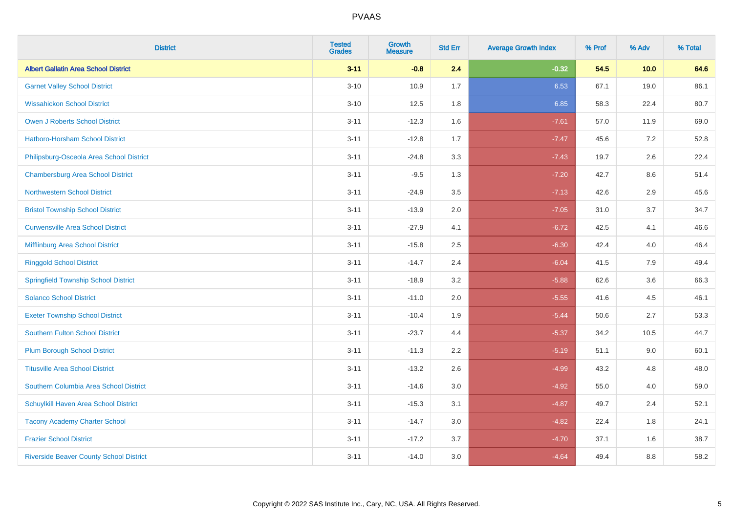| <b>District</b>                                | <b>Tested</b><br><b>Grades</b> | <b>Growth</b><br><b>Measure</b> | <b>Std Err</b> | <b>Average Growth Index</b> | % Prof | % Adv   | % Total |
|------------------------------------------------|--------------------------------|---------------------------------|----------------|-----------------------------|--------|---------|---------|
| <b>Albert Gallatin Area School District</b>    | $3 - 11$                       | $-0.8$                          | 2.4            | $-0.32$                     | 54.5   | 10.0    | 64.6    |
| <b>Garnet Valley School District</b>           | $3 - 10$                       | 10.9                            | 1.7            | 6.53                        | 67.1   | 19.0    | 86.1    |
| <b>Wissahickon School District</b>             | $3 - 10$                       | 12.5                            | 1.8            | 6.85                        | 58.3   | 22.4    | 80.7    |
| <b>Owen J Roberts School District</b>          | $3 - 11$                       | $-12.3$                         | 1.6            | $-7.61$                     | 57.0   | 11.9    | 69.0    |
| Hatboro-Horsham School District                | $3 - 11$                       | $-12.8$                         | 1.7            | $-7.47$                     | 45.6   | 7.2     | 52.8    |
| Philipsburg-Osceola Area School District       | $3 - 11$                       | $-24.8$                         | 3.3            | $-7.43$                     | 19.7   | 2.6     | 22.4    |
| <b>Chambersburg Area School District</b>       | $3 - 11$                       | $-9.5$                          | 1.3            | $-7.20$                     | 42.7   | $8.6\,$ | 51.4    |
| <b>Northwestern School District</b>            | $3 - 11$                       | $-24.9$                         | 3.5            | $-7.13$                     | 42.6   | 2.9     | 45.6    |
| <b>Bristol Township School District</b>        | $3 - 11$                       | $-13.9$                         | 2.0            | $-7.05$                     | 31.0   | 3.7     | 34.7    |
| <b>Curwensville Area School District</b>       | $3 - 11$                       | $-27.9$                         | 4.1            | $-6.72$                     | 42.5   | 4.1     | 46.6    |
| Mifflinburg Area School District               | $3 - 11$                       | $-15.8$                         | 2.5            | $-6.30$                     | 42.4   | 4.0     | 46.4    |
| <b>Ringgold School District</b>                | $3 - 11$                       | $-14.7$                         | 2.4            | $-6.04$                     | 41.5   | 7.9     | 49.4    |
| <b>Springfield Township School District</b>    | $3 - 11$                       | $-18.9$                         | 3.2            | $-5.88$                     | 62.6   | 3.6     | 66.3    |
| <b>Solanco School District</b>                 | $3 - 11$                       | $-11.0$                         | 2.0            | $-5.55$                     | 41.6   | 4.5     | 46.1    |
| <b>Exeter Township School District</b>         | $3 - 11$                       | $-10.4$                         | 1.9            | $-5.44$                     | 50.6   | 2.7     | 53.3    |
| <b>Southern Fulton School District</b>         | $3 - 11$                       | $-23.7$                         | 4.4            | $-5.37$                     | 34.2   | 10.5    | 44.7    |
| <b>Plum Borough School District</b>            | $3 - 11$                       | $-11.3$                         | 2.2            | $-5.19$                     | 51.1   | 9.0     | 60.1    |
| <b>Titusville Area School District</b>         | $3 - 11$                       | $-13.2$                         | 2.6            | $-4.99$                     | 43.2   | 4.8     | 48.0    |
| Southern Columbia Area School District         | $3 - 11$                       | $-14.6$                         | 3.0            | $-4.92$                     | 55.0   | 4.0     | 59.0    |
| Schuylkill Haven Area School District          | $3 - 11$                       | $-15.3$                         | 3.1            | $-4.87$                     | 49.7   | 2.4     | 52.1    |
| <b>Tacony Academy Charter School</b>           | $3 - 11$                       | $-14.7$                         | 3.0            | $-4.82$                     | 22.4   | 1.8     | 24.1    |
| <b>Frazier School District</b>                 | $3 - 11$                       | $-17.2$                         | 3.7            | $-4.70$                     | 37.1   | 1.6     | 38.7    |
| <b>Riverside Beaver County School District</b> | $3 - 11$                       | $-14.0$                         | 3.0            | $-4.64$                     | 49.4   | 8.8     | 58.2    |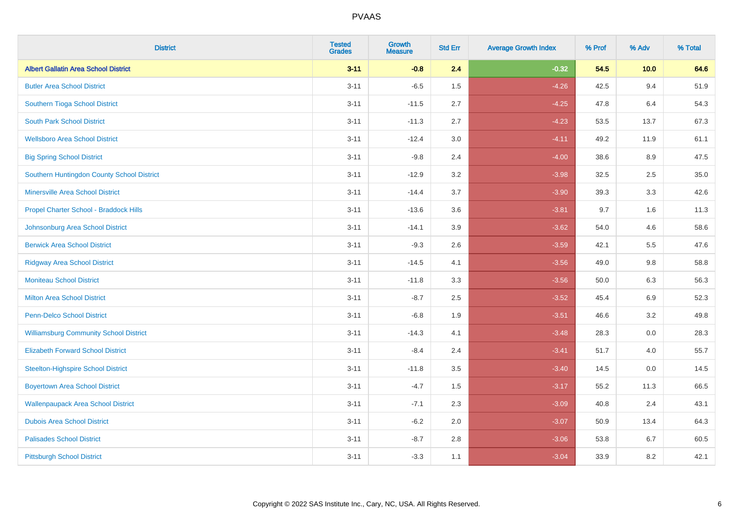| <b>District</b>                               | <b>Tested</b><br><b>Grades</b> | <b>Growth</b><br><b>Measure</b> | <b>Std Err</b> | <b>Average Growth Index</b> | % Prof | % Adv   | % Total |
|-----------------------------------------------|--------------------------------|---------------------------------|----------------|-----------------------------|--------|---------|---------|
| <b>Albert Gallatin Area School District</b>   | $3 - 11$                       | $-0.8$                          | 2.4            | $-0.32$                     | 54.5   | 10.0    | 64.6    |
| <b>Butler Area School District</b>            | $3 - 11$                       | $-6.5$                          | 1.5            | $-4.26$                     | 42.5   | 9.4     | 51.9    |
| Southern Tioga School District                | $3 - 11$                       | $-11.5$                         | 2.7            | $-4.25$                     | 47.8   | 6.4     | 54.3    |
| <b>South Park School District</b>             | $3 - 11$                       | $-11.3$                         | 2.7            | $-4.23$                     | 53.5   | 13.7    | 67.3    |
| <b>Wellsboro Area School District</b>         | $3 - 11$                       | $-12.4$                         | 3.0            | $-4.11$                     | 49.2   | 11.9    | 61.1    |
| <b>Big Spring School District</b>             | $3 - 11$                       | $-9.8$                          | 2.4            | $-4.00$                     | 38.6   | 8.9     | 47.5    |
| Southern Huntingdon County School District    | $3 - 11$                       | $-12.9$                         | 3.2            | $-3.98$                     | 32.5   | 2.5     | 35.0    |
| <b>Minersville Area School District</b>       | $3 - 11$                       | $-14.4$                         | 3.7            | $-3.90$                     | 39.3   | 3.3     | 42.6    |
| Propel Charter School - Braddock Hills        | $3 - 11$                       | $-13.6$                         | 3.6            | $-3.81$                     | 9.7    | 1.6     | 11.3    |
| Johnsonburg Area School District              | $3 - 11$                       | $-14.1$                         | 3.9            | $-3.62$                     | 54.0   | 4.6     | 58.6    |
| <b>Berwick Area School District</b>           | $3 - 11$                       | $-9.3$                          | 2.6            | $-3.59$                     | 42.1   | 5.5     | 47.6    |
| <b>Ridgway Area School District</b>           | $3 - 11$                       | $-14.5$                         | 4.1            | $-3.56$                     | 49.0   | 9.8     | 58.8    |
| <b>Moniteau School District</b>               | $3 - 11$                       | $-11.8$                         | 3.3            | $-3.56$                     | 50.0   | $6.3\,$ | 56.3    |
| <b>Milton Area School District</b>            | $3 - 11$                       | $-8.7$                          | 2.5            | $-3.52$                     | 45.4   | 6.9     | 52.3    |
| <b>Penn-Delco School District</b>             | $3 - 11$                       | $-6.8$                          | 1.9            | $-3.51$                     | 46.6   | 3.2     | 49.8    |
| <b>Williamsburg Community School District</b> | $3 - 11$                       | $-14.3$                         | 4.1            | $-3.48$                     | 28.3   | $0.0\,$ | 28.3    |
| <b>Elizabeth Forward School District</b>      | $3 - 11$                       | $-8.4$                          | 2.4            | $-3.41$                     | 51.7   | 4.0     | 55.7    |
| <b>Steelton-Highspire School District</b>     | $3 - 11$                       | $-11.8$                         | 3.5            | $-3.40$                     | 14.5   | 0.0     | 14.5    |
| <b>Boyertown Area School District</b>         | $3 - 11$                       | $-4.7$                          | 1.5            | $-3.17$                     | 55.2   | 11.3    | 66.5    |
| <b>Wallenpaupack Area School District</b>     | $3 - 11$                       | $-7.1$                          | 2.3            | $-3.09$                     | 40.8   | 2.4     | 43.1    |
| <b>Dubois Area School District</b>            | $3 - 11$                       | $-6.2$                          | 2.0            | $-3.07$                     | 50.9   | 13.4    | 64.3    |
| <b>Palisades School District</b>              | $3 - 11$                       | $-8.7$                          | 2.8            | $-3.06$                     | 53.8   | 6.7     | 60.5    |
| <b>Pittsburgh School District</b>             | $3 - 11$                       | $-3.3$                          | 1.1            | $-3.04$                     | 33.9   | 8.2     | 42.1    |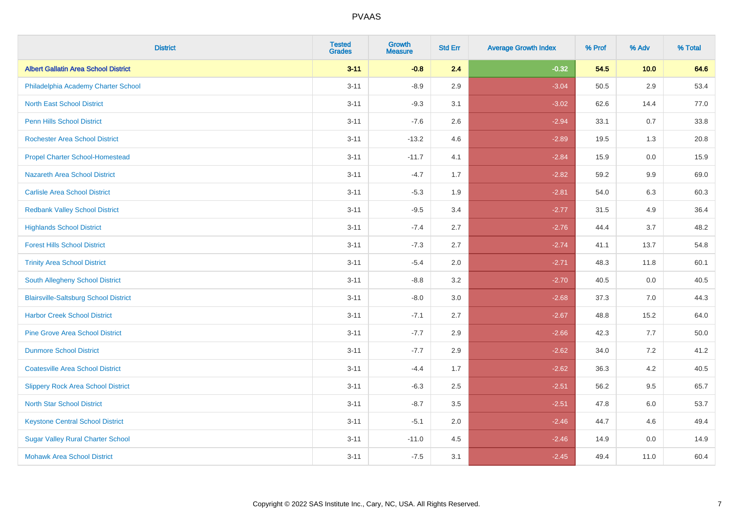| <b>District</b>                              | <b>Tested</b><br><b>Grades</b> | <b>Growth</b><br><b>Measure</b> | <b>Std Err</b> | <b>Average Growth Index</b> | % Prof | % Adv   | % Total |
|----------------------------------------------|--------------------------------|---------------------------------|----------------|-----------------------------|--------|---------|---------|
| <b>Albert Gallatin Area School District</b>  | $3 - 11$                       | $-0.8$                          | 2.4            | $-0.32$                     | 54.5   | 10.0    | 64.6    |
| Philadelphia Academy Charter School          | $3 - 11$                       | $-8.9$                          | 2.9            | $-3.04$                     | 50.5   | 2.9     | 53.4    |
| <b>North East School District</b>            | $3 - 11$                       | $-9.3$                          | 3.1            | $-3.02$                     | 62.6   | 14.4    | 77.0    |
| <b>Penn Hills School District</b>            | $3 - 11$                       | $-7.6$                          | 2.6            | $-2.94$                     | 33.1   | 0.7     | 33.8    |
| <b>Rochester Area School District</b>        | $3 - 11$                       | $-13.2$                         | 4.6            | $-2.89$                     | 19.5   | 1.3     | 20.8    |
| <b>Propel Charter School-Homestead</b>       | $3 - 11$                       | $-11.7$                         | 4.1            | $-2.84$                     | 15.9   | 0.0     | 15.9    |
| <b>Nazareth Area School District</b>         | $3 - 11$                       | $-4.7$                          | 1.7            | $-2.82$                     | 59.2   | $9.9\,$ | 69.0    |
| <b>Carlisle Area School District</b>         | $3 - 11$                       | $-5.3$                          | 1.9            | $-2.81$                     | 54.0   | 6.3     | 60.3    |
| <b>Redbank Valley School District</b>        | $3 - 11$                       | $-9.5$                          | 3.4            | $-2.77$                     | 31.5   | 4.9     | 36.4    |
| <b>Highlands School District</b>             | $3 - 11$                       | $-7.4$                          | 2.7            | $-2.76$                     | 44.4   | 3.7     | 48.2    |
| <b>Forest Hills School District</b>          | $3 - 11$                       | $-7.3$                          | 2.7            | $-2.74$                     | 41.1   | 13.7    | 54.8    |
| <b>Trinity Area School District</b>          | $3 - 11$                       | $-5.4$                          | 2.0            | $-2.71$                     | 48.3   | 11.8    | 60.1    |
| South Allegheny School District              | $3 - 11$                       | $-8.8$                          | 3.2            | $-2.70$                     | 40.5   | 0.0     | 40.5    |
| <b>Blairsville-Saltsburg School District</b> | $3 - 11$                       | $-8.0$                          | 3.0            | $-2.68$                     | 37.3   | 7.0     | 44.3    |
| <b>Harbor Creek School District</b>          | $3 - 11$                       | $-7.1$                          | 2.7            | $-2.67$                     | 48.8   | 15.2    | 64.0    |
| <b>Pine Grove Area School District</b>       | $3 - 11$                       | $-7.7$                          | 2.9            | $-2.66$                     | 42.3   | 7.7     | 50.0    |
| <b>Dunmore School District</b>               | $3 - 11$                       | $-7.7$                          | 2.9            | $-2.62$                     | 34.0   | 7.2     | 41.2    |
| <b>Coatesville Area School District</b>      | $3 - 11$                       | $-4.4$                          | 1.7            | $-2.62$                     | 36.3   | 4.2     | 40.5    |
| <b>Slippery Rock Area School District</b>    | $3 - 11$                       | $-6.3$                          | 2.5            | $-2.51$                     | 56.2   | 9.5     | 65.7    |
| <b>North Star School District</b>            | $3 - 11$                       | $-8.7$                          | 3.5            | $-2.51$                     | 47.8   | 6.0     | 53.7    |
| <b>Keystone Central School District</b>      | $3 - 11$                       | $-5.1$                          | 2.0            | $-2.46$                     | 44.7   | 4.6     | 49.4    |
| <b>Sugar Valley Rural Charter School</b>     | $3 - 11$                       | $-11.0$                         | 4.5            | $-2.46$                     | 14.9   | 0.0     | 14.9    |
| <b>Mohawk Area School District</b>           | $3 - 11$                       | $-7.5$                          | 3.1            | $-2.45$                     | 49.4   | 11.0    | 60.4    |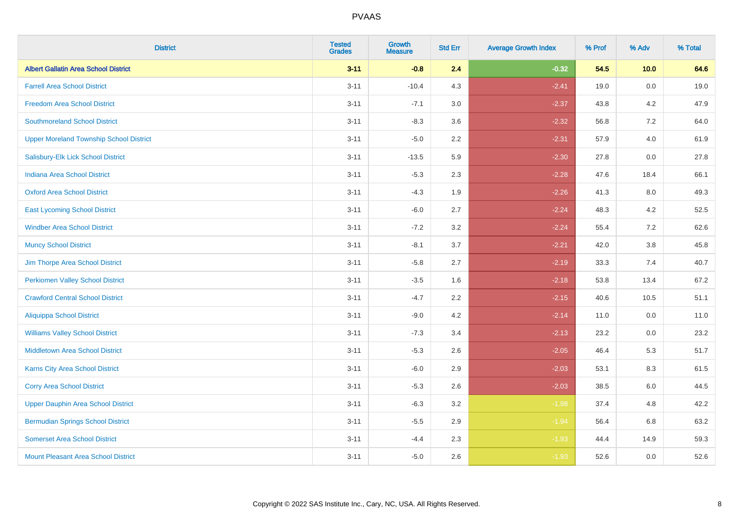| <b>District</b>                                | <b>Tested</b><br><b>Grades</b> | <b>Growth</b><br><b>Measure</b> | <b>Std Err</b> | <b>Average Growth Index</b> | % Prof | % Adv | % Total |
|------------------------------------------------|--------------------------------|---------------------------------|----------------|-----------------------------|--------|-------|---------|
| <b>Albert Gallatin Area School District</b>    | $3 - 11$                       | $-0.8$                          | 2.4            | $-0.32$                     | 54.5   | 10.0  | 64.6    |
| <b>Farrell Area School District</b>            | $3 - 11$                       | $-10.4$                         | 4.3            | $-2.41$                     | 19.0   | 0.0   | 19.0    |
| <b>Freedom Area School District</b>            | $3 - 11$                       | $-7.1$                          | 3.0            | $-2.37$                     | 43.8   | 4.2   | 47.9    |
| <b>Southmoreland School District</b>           | $3 - 11$                       | $-8.3$                          | 3.6            | $-2.32$                     | 56.8   | 7.2   | 64.0    |
| <b>Upper Moreland Township School District</b> | $3 - 11$                       | $-5.0$                          | 2.2            | $-2.31$                     | 57.9   | 4.0   | 61.9    |
| Salisbury-Elk Lick School District             | $3 - 11$                       | $-13.5$                         | 5.9            | $-2.30$                     | 27.8   | 0.0   | 27.8    |
| <b>Indiana Area School District</b>            | $3 - 11$                       | $-5.3$                          | 2.3            | $-2.28$                     | 47.6   | 18.4  | 66.1    |
| <b>Oxford Area School District</b>             | $3 - 11$                       | $-4.3$                          | 1.9            | $-2.26$                     | 41.3   | 8.0   | 49.3    |
| <b>East Lycoming School District</b>           | $3 - 11$                       | $-6.0$                          | 2.7            | $-2.24$                     | 48.3   | 4.2   | 52.5    |
| <b>Windber Area School District</b>            | $3 - 11$                       | $-7.2$                          | 3.2            | $-2.24$                     | 55.4   | 7.2   | 62.6    |
| <b>Muncy School District</b>                   | $3 - 11$                       | $-8.1$                          | 3.7            | $-2.21$                     | 42.0   | 3.8   | 45.8    |
| Jim Thorpe Area School District                | $3 - 11$                       | $-5.8$                          | 2.7            | $-2.19$                     | 33.3   | 7.4   | 40.7    |
| <b>Perkiomen Valley School District</b>        | $3 - 11$                       | $-3.5$                          | 1.6            | $-2.18$                     | 53.8   | 13.4  | 67.2    |
| <b>Crawford Central School District</b>        | $3 - 11$                       | $-4.7$                          | 2.2            | $-2.15$                     | 40.6   | 10.5  | 51.1    |
| <b>Aliquippa School District</b>               | $3 - 11$                       | $-9.0$                          | 4.2            | $-2.14$                     | 11.0   | 0.0   | 11.0    |
| <b>Williams Valley School District</b>         | $3 - 11$                       | $-7.3$                          | 3.4            | $-2.13$                     | 23.2   | 0.0   | 23.2    |
| <b>Middletown Area School District</b>         | $3 - 11$                       | $-5.3$                          | 2.6            | $-2.05$                     | 46.4   | 5.3   | 51.7    |
| Karns City Area School District                | $3 - 11$                       | $-6.0$                          | 2.9            | $-2.03$                     | 53.1   | 8.3   | 61.5    |
| <b>Corry Area School District</b>              | $3 - 11$                       | $-5.3$                          | 2.6            | $-2.03$                     | 38.5   | 6.0   | 44.5    |
| <b>Upper Dauphin Area School District</b>      | $3 - 11$                       | $-6.3$                          | 3.2            | $-1.98$                     | 37.4   | 4.8   | 42.2    |
| <b>Bermudian Springs School District</b>       | $3 - 11$                       | $-5.5$                          | 2.9            | $-1.94$                     | 56.4   | 6.8   | 63.2    |
| <b>Somerset Area School District</b>           | $3 - 11$                       | $-4.4$                          | 2.3            | $-1.93$                     | 44.4   | 14.9  | 59.3    |
| Mount Pleasant Area School District            | $3 - 11$                       | $-5.0$                          | 2.6            | $-1.93$                     | 52.6   | 0.0   | 52.6    |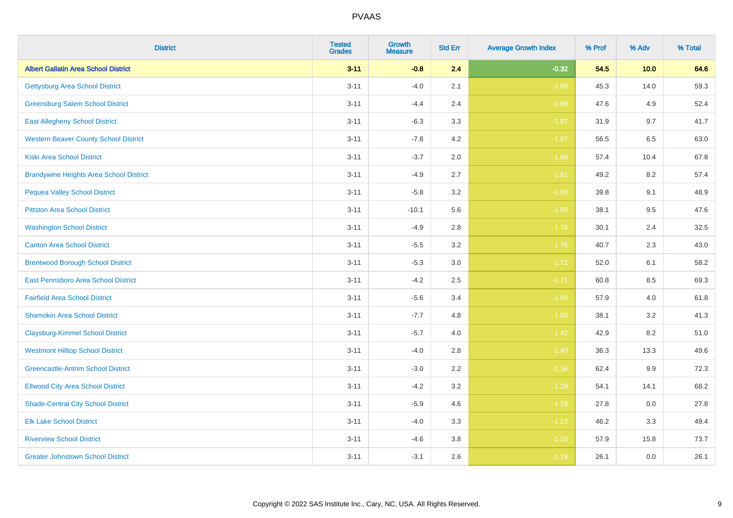| <b>District</b>                                | <b>Tested</b><br><b>Grades</b> | <b>Growth</b><br><b>Measure</b> | <b>Std Err</b> | <b>Average Growth Index</b> | % Prof | % Adv   | % Total |
|------------------------------------------------|--------------------------------|---------------------------------|----------------|-----------------------------|--------|---------|---------|
| <b>Albert Gallatin Area School District</b>    | $3 - 11$                       | $-0.8$                          | 2.4            | $-0.32$                     | 54.5   | 10.0    | 64.6    |
| <b>Gettysburg Area School District</b>         | $3 - 11$                       | $-4.0$                          | 2.1            | $-1.89$                     | 45.3   | 14.0    | 59.3    |
| <b>Greensburg Salem School District</b>        | $3 - 11$                       | $-4.4$                          | 2.4            | $-1.88$                     | 47.6   | 4.9     | 52.4    |
| <b>East Allegheny School District</b>          | $3 - 11$                       | $-6.3$                          | 3.3            | $-1.87$                     | 31.9   | 9.7     | 41.7    |
| <b>Western Beaver County School District</b>   | $3 - 11$                       | $-7.8$                          | 4.2            | $-1.87$                     | 56.5   | 6.5     | 63.0    |
| <b>Kiski Area School District</b>              | $3 - 11$                       | $-3.7$                          | 2.0            | $-1.86$                     | 57.4   | 10.4    | 67.8    |
| <b>Brandywine Heights Area School District</b> | $3 - 11$                       | $-4.9$                          | 2.7            | $-1.81$                     | 49.2   | 8.2     | 57.4    |
| <b>Pequea Valley School District</b>           | $3 - 11$                       | $-5.8$                          | 3.2            | $-1.80$                     | 39.8   | 9.1     | 48.9    |
| <b>Pittston Area School District</b>           | $3 - 11$                       | $-10.1$                         | 5.6            | $-1.80$                     | 38.1   | 9.5     | 47.6    |
| <b>Washington School District</b>              | $3 - 11$                       | $-4.9$                          | 2.8            | $-1.76$                     | 30.1   | 2.4     | 32.5    |
| <b>Canton Area School District</b>             | $3 - 11$                       | $-5.5$                          | 3.2            | $-1.75$                     | 40.7   | 2.3     | 43.0    |
| <b>Brentwood Borough School District</b>       | $3 - 11$                       | $-5.3$                          | 3.0            | $-1.72$                     | 52.0   | 6.1     | 58.2    |
| East Pennsboro Area School District            | $3 - 11$                       | $-4.2$                          | 2.5            | $-1.71$                     | 60.8   | 8.5     | 69.3    |
| <b>Fairfield Area School District</b>          | $3 - 11$                       | $-5.6$                          | 3.4            | $-1.66$                     | 57.9   | 4.0     | 61.8    |
| <b>Shamokin Area School District</b>           | $3 - 11$                       | $-7.7$                          | 4.8            | $-1.60$                     | 38.1   | 3.2     | 41.3    |
| <b>Claysburg-Kimmel School District</b>        | $3 - 11$                       | $-5.7$                          | 4.0            | $-1.42$                     | 42.9   | 8.2     | 51.0    |
| <b>Westmont Hilltop School District</b>        | $3 - 11$                       | $-4.0$                          | 2.8            | $-1.40$                     | 36.3   | 13.3    | 49.6    |
| <b>Greencastle-Antrim School District</b>      | $3 - 11$                       | $-3.0$                          | 2.2            | $-1.36$                     | 62.4   | $9.9\,$ | 72.3    |
| <b>Ellwood City Area School District</b>       | $3 - 11$                       | $-4.2$                          | 3.2            | $-1.29$                     | 54.1   | 14.1    | 68.2    |
| <b>Shade-Central City School District</b>      | $3 - 11$                       | $-5.9$                          | 4.6            | $-1.28$                     | 27.8   | 0.0     | 27.8    |
| <b>Elk Lake School District</b>                | $3 - 11$                       | $-4.0$                          | 3.3            | $-1.23$                     | 46.2   | 3.3     | 49.4    |
| <b>Riverview School District</b>               | $3 - 11$                       | $-4.6$                          | 3.8            | $-1.20$                     | 57.9   | 15.8    | 73.7    |
| <b>Greater Johnstown School District</b>       | $3 - 11$                       | $-3.1$                          | 2.6            | $-1.19$                     | 26.1   | 0.0     | 26.1    |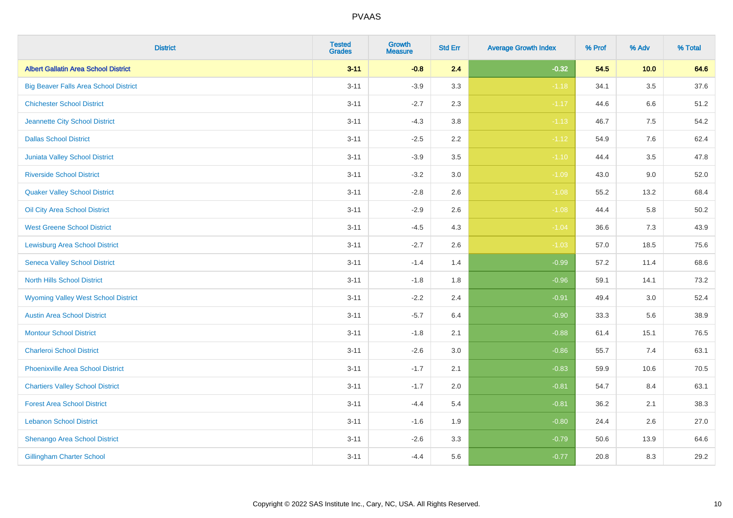| <b>District</b>                              | <b>Tested</b><br><b>Grades</b> | <b>Growth</b><br><b>Measure</b> | <b>Std Err</b> | <b>Average Growth Index</b> | % Prof | % Adv   | % Total  |
|----------------------------------------------|--------------------------------|---------------------------------|----------------|-----------------------------|--------|---------|----------|
| <b>Albert Gallatin Area School District</b>  | $3 - 11$                       | $-0.8$                          | 2.4            | $-0.32$                     | 54.5   | 10.0    | 64.6     |
| <b>Big Beaver Falls Area School District</b> | $3 - 11$                       | $-3.9$                          | 3.3            | $-1.18$                     | 34.1   | $3.5\,$ | 37.6     |
| <b>Chichester School District</b>            | $3 - 11$                       | $-2.7$                          | 2.3            | $-1.17$                     | 44.6   | 6.6     | 51.2     |
| Jeannette City School District               | $3 - 11$                       | $-4.3$                          | $3.8\,$        | $-1.13$                     | 46.7   | 7.5     | 54.2     |
| <b>Dallas School District</b>                | $3 - 11$                       | $-2.5$                          | 2.2            | $-1.12$                     | 54.9   | 7.6     | 62.4     |
| Juniata Valley School District               | $3 - 11$                       | $-3.9$                          | 3.5            | $-1.10$                     | 44.4   | 3.5     | 47.8     |
| <b>Riverside School District</b>             | $3 - 11$                       | $-3.2$                          | 3.0            | $-1.09$                     | 43.0   | 9.0     | 52.0     |
| <b>Quaker Valley School District</b>         | $3 - 11$                       | $-2.8$                          | 2.6            | $-1.08$                     | 55.2   | 13.2    | 68.4     |
| Oil City Area School District                | $3 - 11$                       | $-2.9$                          | 2.6            | $-1.08$                     | 44.4   | 5.8     | $50.2\,$ |
| <b>West Greene School District</b>           | $3 - 11$                       | $-4.5$                          | 4.3            | $-1.04$                     | 36.6   | 7.3     | 43.9     |
| <b>Lewisburg Area School District</b>        | $3 - 11$                       | $-2.7$                          | 2.6            | $-1.03$                     | 57.0   | 18.5    | 75.6     |
| <b>Seneca Valley School District</b>         | $3 - 11$                       | $-1.4$                          | 1.4            | $-0.99$                     | 57.2   | 11.4    | 68.6     |
| North Hills School District                  | $3 - 11$                       | $-1.8$                          | 1.8            | $-0.96$                     | 59.1   | 14.1    | 73.2     |
| <b>Wyoming Valley West School District</b>   | $3 - 11$                       | $-2.2$                          | 2.4            | $-0.91$                     | 49.4   | 3.0     | 52.4     |
| <b>Austin Area School District</b>           | $3 - 11$                       | $-5.7$                          | 6.4            | $-0.90$                     | 33.3   | 5.6     | 38.9     |
| <b>Montour School District</b>               | $3 - 11$                       | $-1.8$                          | 2.1            | $-0.88$                     | 61.4   | 15.1    | 76.5     |
| <b>Charleroi School District</b>             | $3 - 11$                       | $-2.6$                          | 3.0            | $-0.86$                     | 55.7   | 7.4     | 63.1     |
| <b>Phoenixville Area School District</b>     | $3 - 11$                       | $-1.7$                          | 2.1            | $-0.83$                     | 59.9   | 10.6    | 70.5     |
| <b>Chartiers Valley School District</b>      | $3 - 11$                       | $-1.7$                          | 2.0            | $-0.81$                     | 54.7   | 8.4     | 63.1     |
| <b>Forest Area School District</b>           | $3 - 11$                       | $-4.4$                          | 5.4            | $-0.81$                     | 36.2   | 2.1     | 38.3     |
| <b>Lebanon School District</b>               | $3 - 11$                       | $-1.6$                          | 1.9            | $-0.80$                     | 24.4   | 2.6     | 27.0     |
| Shenango Area School District                | $3 - 11$                       | $-2.6$                          | 3.3            | $-0.79$                     | 50.6   | 13.9    | 64.6     |
| <b>Gillingham Charter School</b>             | $3 - 11$                       | $-4.4$                          | 5.6            | $-0.77$                     | 20.8   | 8.3     | 29.2     |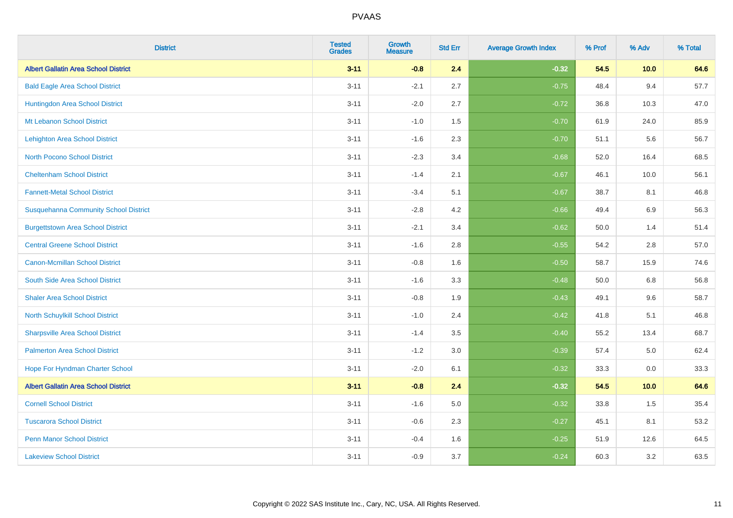| <b>District</b>                              | <b>Tested</b><br><b>Grades</b> | <b>Growth</b><br><b>Measure</b> | <b>Std Err</b> | <b>Average Growth Index</b> | % Prof | % Adv   | % Total |
|----------------------------------------------|--------------------------------|---------------------------------|----------------|-----------------------------|--------|---------|---------|
| <b>Albert Gallatin Area School District</b>  | $3 - 11$                       | $-0.8$                          | 2.4            | $-0.32$                     | 54.5   | 10.0    | 64.6    |
| <b>Bald Eagle Area School District</b>       | $3 - 11$                       | $-2.1$                          | 2.7            | $-0.75$                     | 48.4   | 9.4     | 57.7    |
| Huntingdon Area School District              | $3 - 11$                       | $-2.0$                          | 2.7            | $-0.72$                     | 36.8   | 10.3    | 47.0    |
| Mt Lebanon School District                   | $3 - 11$                       | $-1.0$                          | 1.5            | $-0.70$                     | 61.9   | 24.0    | 85.9    |
| <b>Lehighton Area School District</b>        | $3 - 11$                       | $-1.6$                          | 2.3            | $-0.70$                     | 51.1   | 5.6     | 56.7    |
| <b>North Pocono School District</b>          | $3 - 11$                       | $-2.3$                          | 3.4            | $-0.68$                     | 52.0   | 16.4    | 68.5    |
| <b>Cheltenham School District</b>            | $3 - 11$                       | $-1.4$                          | 2.1            | $-0.67$                     | 46.1   | 10.0    | 56.1    |
| <b>Fannett-Metal School District</b>         | $3 - 11$                       | $-3.4$                          | 5.1            | $-0.67$                     | 38.7   | 8.1     | 46.8    |
| <b>Susquehanna Community School District</b> | $3 - 11$                       | $-2.8$                          | 4.2            | $-0.66$                     | 49.4   | 6.9     | 56.3    |
| <b>Burgettstown Area School District</b>     | $3 - 11$                       | $-2.1$                          | 3.4            | $-0.62$                     | 50.0   | 1.4     | 51.4    |
| <b>Central Greene School District</b>        | $3 - 11$                       | $-1.6$                          | 2.8            | $-0.55$                     | 54.2   | 2.8     | 57.0    |
| Canon-Mcmillan School District               | $3 - 11$                       | $-0.8$                          | 1.6            | $-0.50$                     | 58.7   | 15.9    | 74.6    |
| South Side Area School District              | $3 - 11$                       | $-1.6$                          | 3.3            | $-0.48$                     | 50.0   | $6.8\,$ | 56.8    |
| <b>Shaler Area School District</b>           | $3 - 11$                       | $-0.8$                          | 1.9            | $-0.43$                     | 49.1   | 9.6     | 58.7    |
| North Schuylkill School District             | $3 - 11$                       | $-1.0$                          | 2.4            | $-0.42$                     | 41.8   | 5.1     | 46.8    |
| <b>Sharpsville Area School District</b>      | $3 - 11$                       | $-1.4$                          | 3.5            | $-0.40$                     | 55.2   | 13.4    | 68.7    |
| <b>Palmerton Area School District</b>        | $3 - 11$                       | $-1.2$                          | 3.0            | $-0.39$                     | 57.4   | 5.0     | 62.4    |
| Hope For Hyndman Charter School              | $3 - 11$                       | $-2.0$                          | 6.1            | $-0.32$                     | 33.3   | 0.0     | 33.3    |
| <b>Albert Gallatin Area School District</b>  | $3 - 11$                       | $-0.8$                          | 2.4            | $-0.32$                     | 54.5   | 10.0    | 64.6    |
| <b>Cornell School District</b>               | $3 - 11$                       | $-1.6$                          | 5.0            | $-0.32$                     | 33.8   | 1.5     | 35.4    |
| <b>Tuscarora School District</b>             | $3 - 11$                       | $-0.6$                          | 2.3            | $-0.27$                     | 45.1   | 8.1     | 53.2    |
| <b>Penn Manor School District</b>            | $3 - 11$                       | $-0.4$                          | 1.6            | $-0.25$                     | 51.9   | 12.6    | 64.5    |
| <b>Lakeview School District</b>              | $3 - 11$                       | $-0.9$                          | 3.7            | $-0.24$                     | 60.3   | 3.2     | 63.5    |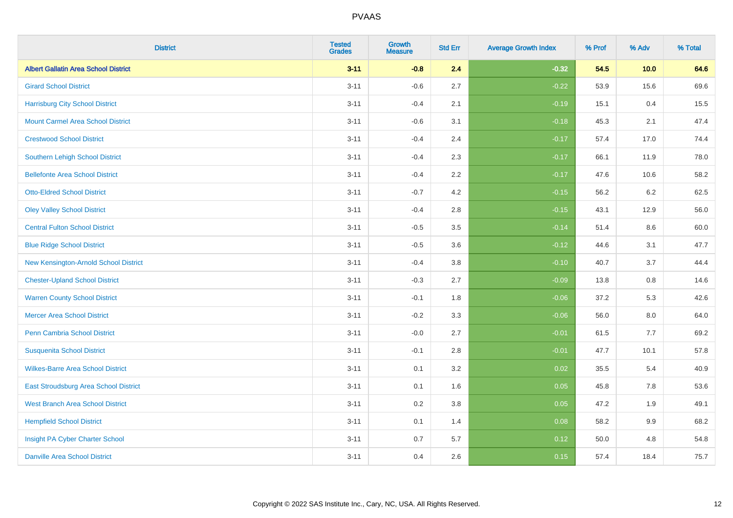| <b>District</b>                             | <b>Tested</b><br><b>Grades</b> | <b>Growth</b><br><b>Measure</b> | <b>Std Err</b> | <b>Average Growth Index</b> | % Prof | % Adv   | % Total |
|---------------------------------------------|--------------------------------|---------------------------------|----------------|-----------------------------|--------|---------|---------|
| <b>Albert Gallatin Area School District</b> | $3 - 11$                       | $-0.8$                          | 2.4            | $-0.32$                     | 54.5   | 10.0    | 64.6    |
| <b>Girard School District</b>               | $3 - 11$                       | $-0.6$                          | 2.7            | $-0.22$                     | 53.9   | 15.6    | 69.6    |
| <b>Harrisburg City School District</b>      | $3 - 11$                       | $-0.4$                          | 2.1            | $-0.19$                     | 15.1   | 0.4     | 15.5    |
| <b>Mount Carmel Area School District</b>    | $3 - 11$                       | $-0.6$                          | 3.1            | $-0.18$                     | 45.3   | 2.1     | 47.4    |
| <b>Crestwood School District</b>            | $3 - 11$                       | $-0.4$                          | 2.4            | $-0.17$                     | 57.4   | 17.0    | 74.4    |
| <b>Southern Lehigh School District</b>      | $3 - 11$                       | $-0.4$                          | 2.3            | $-0.17$                     | 66.1   | 11.9    | 78.0    |
| <b>Bellefonte Area School District</b>      | $3 - 11$                       | $-0.4$                          | 2.2            | $-0.17$                     | 47.6   | 10.6    | 58.2    |
| <b>Otto-Eldred School District</b>          | $3 - 11$                       | $-0.7$                          | 4.2            | $-0.15$                     | 56.2   | 6.2     | 62.5    |
| <b>Oley Valley School District</b>          | $3 - 11$                       | $-0.4$                          | 2.8            | $-0.15$                     | 43.1   | 12.9    | 56.0    |
| <b>Central Fulton School District</b>       | $3 - 11$                       | $-0.5$                          | 3.5            | $-0.14$                     | 51.4   | 8.6     | 60.0    |
| <b>Blue Ridge School District</b>           | $3 - 11$                       | $-0.5$                          | 3.6            | $-0.12$                     | 44.6   | 3.1     | 47.7    |
| New Kensington-Arnold School District       | $3 - 11$                       | $-0.4$                          | 3.8            | $-0.10$                     | 40.7   | 3.7     | 44.4    |
| <b>Chester-Upland School District</b>       | $3 - 11$                       | $-0.3$                          | 2.7            | $-0.09$                     | 13.8   | $0.8\,$ | 14.6    |
| <b>Warren County School District</b>        | $3 - 11$                       | $-0.1$                          | 1.8            | $-0.06$                     | 37.2   | 5.3     | 42.6    |
| <b>Mercer Area School District</b>          | $3 - 11$                       | $-0.2$                          | 3.3            | $-0.06$                     | 56.0   | $8.0\,$ | 64.0    |
| Penn Cambria School District                | $3 - 11$                       | $-0.0$                          | 2.7            | $-0.01$                     | 61.5   | 7.7     | 69.2    |
| <b>Susquenita School District</b>           | $3 - 11$                       | $-0.1$                          | 2.8            | $-0.01$                     | 47.7   | 10.1    | 57.8    |
| <b>Wilkes-Barre Area School District</b>    | $3 - 11$                       | 0.1                             | 3.2            | 0.02                        | 35.5   | 5.4     | 40.9    |
| East Stroudsburg Area School District       | $3 - 11$                       | 0.1                             | 1.6            | 0.05                        | 45.8   | 7.8     | 53.6    |
| <b>West Branch Area School District</b>     | $3 - 11$                       | 0.2                             | 3.8            | 0.05                        | 47.2   | 1.9     | 49.1    |
| <b>Hempfield School District</b>            | $3 - 11$                       | 0.1                             | 1.4            | 0.08                        | 58.2   | 9.9     | 68.2    |
| Insight PA Cyber Charter School             | $3 - 11$                       | 0.7                             | 5.7            | 0.12                        | 50.0   | 4.8     | 54.8    |
| <b>Danville Area School District</b>        | $3 - 11$                       | 0.4                             | 2.6            | 0.15                        | 57.4   | 18.4    | 75.7    |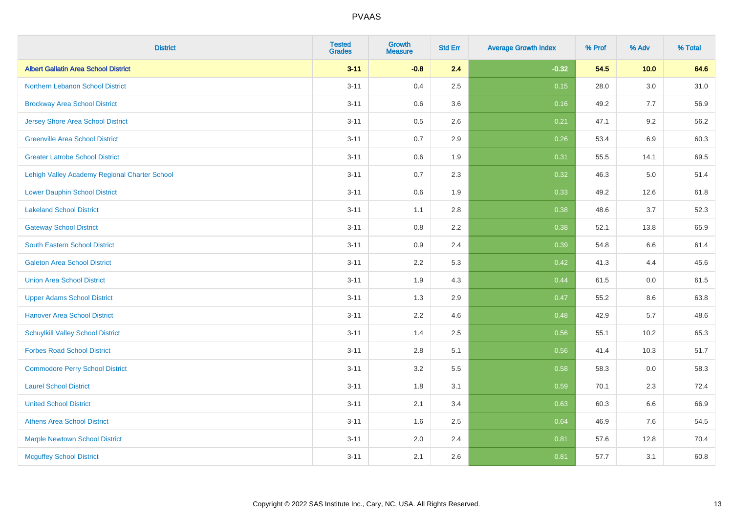| <b>District</b>                               | <b>Tested</b><br><b>Grades</b> | Growth<br><b>Measure</b> | <b>Std Err</b> | <b>Average Growth Index</b> | % Prof | % Adv | % Total |
|-----------------------------------------------|--------------------------------|--------------------------|----------------|-----------------------------|--------|-------|---------|
| <b>Albert Gallatin Area School District</b>   | $3 - 11$                       | $-0.8$                   | 2.4            | $-0.32$                     | 54.5   | 10.0  | 64.6    |
| Northern Lebanon School District              | $3 - 11$                       | 0.4                      | 2.5            | 0.15                        | 28.0   | 3.0   | 31.0    |
| <b>Brockway Area School District</b>          | $3 - 11$                       | 0.6                      | 3.6            | 0.16                        | 49.2   | 7.7   | 56.9    |
| Jersey Shore Area School District             | $3 - 11$                       | 0.5                      | 2.6            | 0.21                        | 47.1   | 9.2   | 56.2    |
| <b>Greenville Area School District</b>        | $3 - 11$                       | 0.7                      | 2.9            | 0.26                        | 53.4   | 6.9   | 60.3    |
| <b>Greater Latrobe School District</b>        | $3 - 11$                       | $0.6\,$                  | 1.9            | 0.31                        | 55.5   | 14.1  | 69.5    |
| Lehigh Valley Academy Regional Charter School | $3 - 11$                       | 0.7                      | 2.3            | 0.32                        | 46.3   | 5.0   | 51.4    |
| <b>Lower Dauphin School District</b>          | $3 - 11$                       | 0.6                      | 1.9            | 0.33                        | 49.2   | 12.6  | 61.8    |
| <b>Lakeland School District</b>               | $3 - 11$                       | 1.1                      | 2.8            | 0.38                        | 48.6   | 3.7   | 52.3    |
| <b>Gateway School District</b>                | $3 - 11$                       | 0.8                      | 2.2            | 0.38                        | 52.1   | 13.8  | 65.9    |
| <b>South Eastern School District</b>          | $3 - 11$                       | 0.9                      | 2.4            | 0.39                        | 54.8   | 6.6   | 61.4    |
| <b>Galeton Area School District</b>           | $3 - 11$                       | 2.2                      | 5.3            | 0.42                        | 41.3   | 4.4   | 45.6    |
| <b>Union Area School District</b>             | $3 - 11$                       | 1.9                      | 4.3            | 0.44                        | 61.5   | 0.0   | 61.5    |
| <b>Upper Adams School District</b>            | $3 - 11$                       | 1.3                      | 2.9            | 0.47                        | 55.2   | 8.6   | 63.8    |
| <b>Hanover Area School District</b>           | $3 - 11$                       | 2.2                      | 4.6            | 0.48                        | 42.9   | 5.7   | 48.6    |
| <b>Schuylkill Valley School District</b>      | $3 - 11$                       | 1.4                      | 2.5            | 0.56                        | 55.1   | 10.2  | 65.3    |
| <b>Forbes Road School District</b>            | $3 - 11$                       | 2.8                      | 5.1            | 0.56                        | 41.4   | 10.3  | 51.7    |
| <b>Commodore Perry School District</b>        | $3 - 11$                       | 3.2                      | 5.5            | 0.58                        | 58.3   | 0.0   | 58.3    |
| <b>Laurel School District</b>                 | $3 - 11$                       | 1.8                      | 3.1            | 0.59                        | 70.1   | 2.3   | 72.4    |
| <b>United School District</b>                 | $3 - 11$                       | 2.1                      | 3.4            | 0.63                        | 60.3   | 6.6   | 66.9    |
| <b>Athens Area School District</b>            | $3 - 11$                       | 1.6                      | 2.5            | 0.64                        | 46.9   | 7.6   | 54.5    |
| <b>Marple Newtown School District</b>         | $3 - 11$                       | 2.0                      | 2.4            | 0.81                        | 57.6   | 12.8  | 70.4    |
| <b>Mcguffey School District</b>               | $3 - 11$                       | 2.1                      | 2.6            | 0.81                        | 57.7   | 3.1   | 60.8    |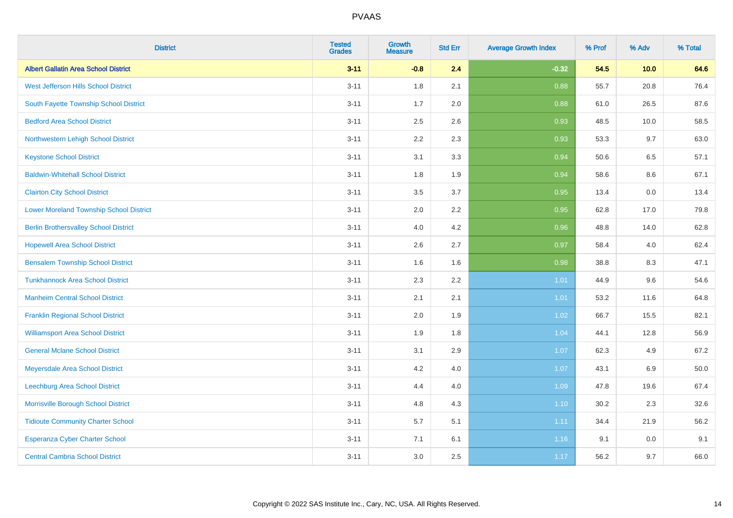| <b>District</b>                                | <b>Tested</b><br><b>Grades</b> | <b>Growth</b><br><b>Measure</b> | <b>Std Err</b> | <b>Average Growth Index</b> | % Prof | % Adv   | % Total  |
|------------------------------------------------|--------------------------------|---------------------------------|----------------|-----------------------------|--------|---------|----------|
| <b>Albert Gallatin Area School District</b>    | $3 - 11$                       | $-0.8$                          | 2.4            | $-0.32$                     | 54.5   | 10.0    | 64.6     |
| West Jefferson Hills School District           | $3 - 11$                       | 1.8                             | 2.1            | 0.88                        | 55.7   | 20.8    | 76.4     |
| South Fayette Township School District         | $3 - 11$                       | 1.7                             | 2.0            | 0.88                        | 61.0   | 26.5    | 87.6     |
| <b>Bedford Area School District</b>            | $3 - 11$                       | 2.5                             | 2.6            | 0.93                        | 48.5   | 10.0    | 58.5     |
| Northwestern Lehigh School District            | $3 - 11$                       | 2.2                             | 2.3            | 0.93                        | 53.3   | 9.7     | 63.0     |
| <b>Keystone School District</b>                | $3 - 11$                       | 3.1                             | 3.3            | 0.94                        | 50.6   | 6.5     | 57.1     |
| <b>Baldwin-Whitehall School District</b>       | $3 - 11$                       | 1.8                             | 1.9            | 0.94                        | 58.6   | $8.6\,$ | 67.1     |
| <b>Clairton City School District</b>           | $3 - 11$                       | 3.5                             | 3.7            | 0.95                        | 13.4   | 0.0     | 13.4     |
| <b>Lower Moreland Township School District</b> | $3 - 11$                       | 2.0                             | 2.2            | 0.95                        | 62.8   | 17.0    | 79.8     |
| <b>Berlin Brothersvalley School District</b>   | $3 - 11$                       | 4.0                             | 4.2            | 0.96                        | 48.8   | 14.0    | 62.8     |
| <b>Hopewell Area School District</b>           | $3 - 11$                       | 2.6                             | 2.7            | 0.97                        | 58.4   | 4.0     | 62.4     |
| <b>Bensalem Township School District</b>       | $3 - 11$                       | 1.6                             | 1.6            | 0.98                        | 38.8   | 8.3     | 47.1     |
| <b>Tunkhannock Area School District</b>        | $3 - 11$                       | 2.3                             | 2.2            | 1.01                        | 44.9   | 9.6     | 54.6     |
| <b>Manheim Central School District</b>         | $3 - 11$                       | 2.1                             | 2.1            | 1.01                        | 53.2   | 11.6    | 64.8     |
| <b>Franklin Regional School District</b>       | $3 - 11$                       | 2.0                             | 1.9            | 1.02                        | 66.7   | 15.5    | 82.1     |
| <b>Williamsport Area School District</b>       | $3 - 11$                       | 1.9                             | 1.8            | 1.04                        | 44.1   | 12.8    | 56.9     |
| <b>General Mclane School District</b>          | $3 - 11$                       | 3.1                             | 2.9            | 1.07                        | 62.3   | 4.9     | 67.2     |
| Meyersdale Area School District                | $3 - 11$                       | 4.2                             | 4.0            | 1.07                        | 43.1   | 6.9     | $50.0\,$ |
| Leechburg Area School District                 | $3 - 11$                       | 4.4                             | 4.0            | 1.09                        | 47.8   | 19.6    | 67.4     |
| Morrisville Borough School District            | $3 - 11$                       | 4.8                             | 4.3            | 1.10                        | 30.2   | 2.3     | 32.6     |
| <b>Tidioute Community Charter School</b>       | $3 - 11$                       | 5.7                             | 5.1            | 1.11                        | 34.4   | 21.9    | 56.2     |
| Esperanza Cyber Charter School                 | $3 - 11$                       | 7.1                             | 6.1            | 1.16                        | 9.1    | 0.0     | 9.1      |
| <b>Central Cambria School District</b>         | $3 - 11$                       | 3.0                             | 2.5            | 1.17                        | 56.2   | 9.7     | 66.0     |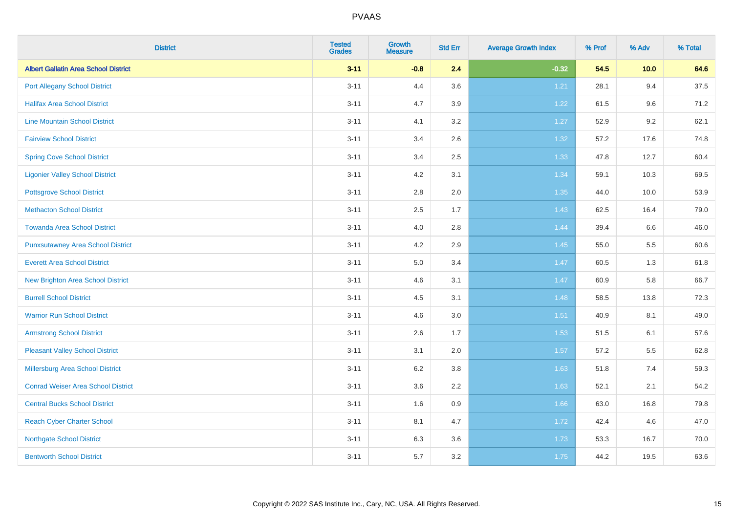| <b>District</b>                             | <b>Tested</b><br><b>Grades</b> | <b>Growth</b><br><b>Measure</b> | <b>Std Err</b> | <b>Average Growth Index</b> | % Prof | % Adv | % Total |
|---------------------------------------------|--------------------------------|---------------------------------|----------------|-----------------------------|--------|-------|---------|
| <b>Albert Gallatin Area School District</b> | $3 - 11$                       | $-0.8$                          | 2.4            | $-0.32$                     | 54.5   | 10.0  | 64.6    |
| <b>Port Allegany School District</b>        | $3 - 11$                       | 4.4                             | 3.6            | 1.21                        | 28.1   | 9.4   | 37.5    |
| <b>Halifax Area School District</b>         | $3 - 11$                       | 4.7                             | 3.9            | 1.22                        | 61.5   | 9.6   | 71.2    |
| <b>Line Mountain School District</b>        | $3 - 11$                       | 4.1                             | 3.2            | 1.27                        | 52.9   | 9.2   | 62.1    |
| <b>Fairview School District</b>             | $3 - 11$                       | 3.4                             | 2.6            | 1.32                        | 57.2   | 17.6  | 74.8    |
| <b>Spring Cove School District</b>          | $3 - 11$                       | 3.4                             | 2.5            | 1.33                        | 47.8   | 12.7  | 60.4    |
| <b>Ligonier Valley School District</b>      | $3 - 11$                       | 4.2                             | 3.1            | 1.34                        | 59.1   | 10.3  | 69.5    |
| <b>Pottsgrove School District</b>           | $3 - 11$                       | 2.8                             | 2.0            | 1.35                        | 44.0   | 10.0  | 53.9    |
| <b>Methacton School District</b>            | $3 - 11$                       | 2.5                             | 1.7            | 1.43                        | 62.5   | 16.4  | 79.0    |
| <b>Towanda Area School District</b>         | $3 - 11$                       | 4.0                             | 2.8            | 1.44                        | 39.4   | 6.6   | 46.0    |
| <b>Punxsutawney Area School District</b>    | $3 - 11$                       | 4.2                             | 2.9            | 1.45                        | 55.0   | 5.5   | 60.6    |
| <b>Everett Area School District</b>         | $3 - 11$                       | 5.0                             | 3.4            | 1.47                        | 60.5   | 1.3   | 61.8    |
| New Brighton Area School District           | $3 - 11$                       | 4.6                             | 3.1            | 1.47                        | 60.9   | 5.8   | 66.7    |
| <b>Burrell School District</b>              | $3 - 11$                       | 4.5                             | 3.1            | 1.48                        | 58.5   | 13.8  | 72.3    |
| <b>Warrior Run School District</b>          | $3 - 11$                       | 4.6                             | 3.0            | 1.51                        | 40.9   | 8.1   | 49.0    |
| <b>Armstrong School District</b>            | $3 - 11$                       | 2.6                             | 1.7            | 1.53                        | 51.5   | 6.1   | 57.6    |
| <b>Pleasant Valley School District</b>      | $3 - 11$                       | 3.1                             | 2.0            | 1.57                        | 57.2   | 5.5   | 62.8    |
| Millersburg Area School District            | $3 - 11$                       | 6.2                             | 3.8            | 1.63                        | 51.8   | 7.4   | 59.3    |
| <b>Conrad Weiser Area School District</b>   | $3 - 11$                       | 3.6                             | 2.2            | 1.63                        | 52.1   | 2.1   | 54.2    |
| <b>Central Bucks School District</b>        | $3 - 11$                       | 1.6                             | 0.9            | 1.66                        | 63.0   | 16.8  | 79.8    |
| <b>Reach Cyber Charter School</b>           | $3 - 11$                       | 8.1                             | 4.7            | 1.72                        | 42.4   | 4.6   | 47.0    |
| <b>Northgate School District</b>            | $3 - 11$                       | 6.3                             | 3.6            | 1.73                        | 53.3   | 16.7  | 70.0    |
| <b>Bentworth School District</b>            | $3 - 11$                       | 5.7                             | 3.2            | 1.75                        | 44.2   | 19.5  | 63.6    |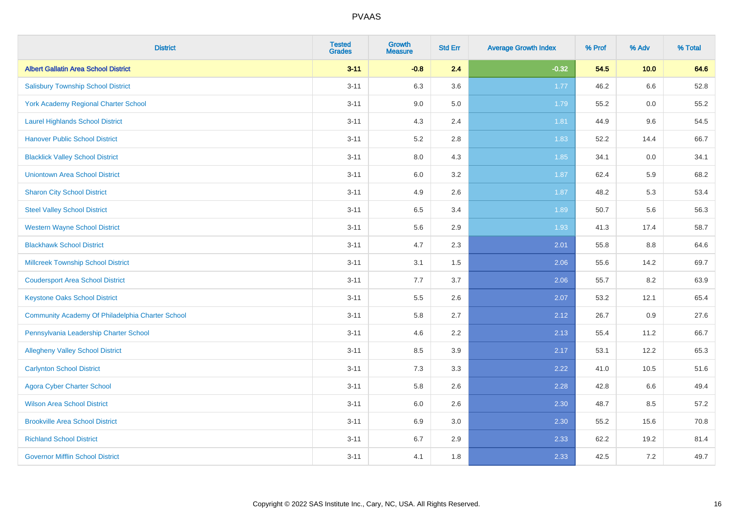| <b>District</b>                                  | <b>Tested</b><br><b>Grades</b> | <b>Growth</b><br><b>Measure</b> | <b>Std Err</b> | <b>Average Growth Index</b> | % Prof | % Adv   | % Total |
|--------------------------------------------------|--------------------------------|---------------------------------|----------------|-----------------------------|--------|---------|---------|
| <b>Albert Gallatin Area School District</b>      | $3 - 11$                       | $-0.8$                          | 2.4            | $-0.32$                     | 54.5   | 10.0    | 64.6    |
| <b>Salisbury Township School District</b>        | $3 - 11$                       | 6.3                             | 3.6            | $1.77$                      | 46.2   | 6.6     | 52.8    |
| <b>York Academy Regional Charter School</b>      | $3 - 11$                       | 9.0                             | 5.0            | 1.79                        | 55.2   | 0.0     | 55.2    |
| <b>Laurel Highlands School District</b>          | $3 - 11$                       | 4.3                             | 2.4            | 1.81                        | 44.9   | 9.6     | 54.5    |
| <b>Hanover Public School District</b>            | $3 - 11$                       | 5.2                             | 2.8            | 1.83                        | 52.2   | 14.4    | 66.7    |
| <b>Blacklick Valley School District</b>          | $3 - 11$                       | 8.0                             | 4.3            | 1.85                        | 34.1   | $0.0\,$ | 34.1    |
| <b>Uniontown Area School District</b>            | $3 - 11$                       | $6.0\,$                         | 3.2            | 1.87                        | 62.4   | 5.9     | 68.2    |
| <b>Sharon City School District</b>               | $3 - 11$                       | 4.9                             | 2.6            | 1.87                        | 48.2   | 5.3     | 53.4    |
| <b>Steel Valley School District</b>              | $3 - 11$                       | 6.5                             | 3.4            | 1.89                        | 50.7   | 5.6     | 56.3    |
| <b>Western Wayne School District</b>             | $3 - 11$                       | 5.6                             | 2.9            | 1.93                        | 41.3   | 17.4    | 58.7    |
| <b>Blackhawk School District</b>                 | $3 - 11$                       | 4.7                             | 2.3            | 2.01                        | 55.8   | 8.8     | 64.6    |
| <b>Millcreek Township School District</b>        | $3 - 11$                       | 3.1                             | 1.5            | 2.06                        | 55.6   | 14.2    | 69.7    |
| <b>Coudersport Area School District</b>          | $3 - 11$                       | 7.7                             | 3.7            | 2.06                        | 55.7   | 8.2     | 63.9    |
| <b>Keystone Oaks School District</b>             | $3 - 11$                       | $5.5\,$                         | 2.6            | 2.07                        | 53.2   | 12.1    | 65.4    |
| Community Academy Of Philadelphia Charter School | $3 - 11$                       | 5.8                             | 2.7            | 2.12                        | 26.7   | 0.9     | 27.6    |
| Pennsylvania Leadership Charter School           | $3 - 11$                       | 4.6                             | 2.2            | 2.13                        | 55.4   | 11.2    | 66.7    |
| <b>Allegheny Valley School District</b>          | $3 - 11$                       | 8.5                             | 3.9            | 2.17                        | 53.1   | 12.2    | 65.3    |
| <b>Carlynton School District</b>                 | $3 - 11$                       | 7.3                             | 3.3            | 2.22                        | 41.0   | 10.5    | 51.6    |
| <b>Agora Cyber Charter School</b>                | $3 - 11$                       | 5.8                             | 2.6            | 2.28                        | 42.8   | 6.6     | 49.4    |
| <b>Wilson Area School District</b>               | $3 - 11$                       | 6.0                             | 2.6            | 2.30                        | 48.7   | 8.5     | 57.2    |
| <b>Brookville Area School District</b>           | $3 - 11$                       | 6.9                             | 3.0            | 2.30                        | 55.2   | 15.6    | 70.8    |
| <b>Richland School District</b>                  | $3 - 11$                       | 6.7                             | 2.9            | 2.33                        | 62.2   | 19.2    | 81.4    |
| <b>Governor Mifflin School District</b>          | $3 - 11$                       | 4.1                             | 1.8            | 2.33                        | 42.5   | 7.2     | 49.7    |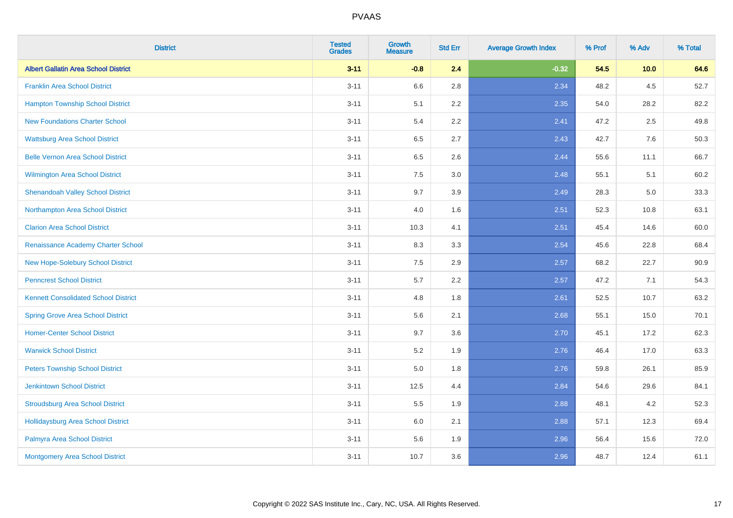| <b>District</b>                             | <b>Tested</b><br><b>Grades</b> | <b>Growth</b><br><b>Measure</b> | <b>Std Err</b> | <b>Average Growth Index</b> | % Prof | % Adv | % Total |
|---------------------------------------------|--------------------------------|---------------------------------|----------------|-----------------------------|--------|-------|---------|
| <b>Albert Gallatin Area School District</b> | $3 - 11$                       | $-0.8$                          | 2.4            | $-0.32$                     | 54.5   | 10.0  | 64.6    |
| <b>Franklin Area School District</b>        | $3 - 11$                       | 6.6                             | 2.8            | 2.34                        | 48.2   | 4.5   | 52.7    |
| <b>Hampton Township School District</b>     | $3 - 11$                       | 5.1                             | 2.2            | 2.35                        | 54.0   | 28.2  | 82.2    |
| <b>New Foundations Charter School</b>       | $3 - 11$                       | 5.4                             | 2.2            | 2.41                        | 47.2   | 2.5   | 49.8    |
| <b>Wattsburg Area School District</b>       | $3 - 11$                       | 6.5                             | 2.7            | 2.43                        | 42.7   | 7.6   | 50.3    |
| <b>Belle Vernon Area School District</b>    | $3 - 11$                       | 6.5                             | 2.6            | 2.44                        | 55.6   | 11.1  | 66.7    |
| Wilmington Area School District             | $3 - 11$                       | $7.5\,$                         | 3.0            | 2.48                        | 55.1   | 5.1   | 60.2    |
| <b>Shenandoah Valley School District</b>    | $3 - 11$                       | 9.7                             | 3.9            | 2.49                        | 28.3   | 5.0   | 33.3    |
| Northampton Area School District            | $3 - 11$                       | 4.0                             | 1.6            | 2.51                        | 52.3   | 10.8  | 63.1    |
| <b>Clarion Area School District</b>         | $3 - 11$                       | 10.3                            | 4.1            | 2.51                        | 45.4   | 14.6  | 60.0    |
| Renaissance Academy Charter School          | $3 - 11$                       | 8.3                             | 3.3            | 2.54                        | 45.6   | 22.8  | 68.4    |
| New Hope-Solebury School District           | $3 - 11$                       | 7.5                             | 2.9            | 2.57                        | 68.2   | 22.7  | 90.9    |
| <b>Penncrest School District</b>            | $3 - 11$                       | 5.7                             | 2.2            | 2.57                        | 47.2   | 7.1   | 54.3    |
| <b>Kennett Consolidated School District</b> | $3 - 11$                       | 4.8                             | 1.8            | 2.61                        | 52.5   | 10.7  | 63.2    |
| <b>Spring Grove Area School District</b>    | $3 - 11$                       | 5.6                             | 2.1            | 2.68                        | 55.1   | 15.0  | 70.1    |
| <b>Homer-Center School District</b>         | $3 - 11$                       | 9.7                             | 3.6            | 2.70                        | 45.1   | 17.2  | 62.3    |
| <b>Warwick School District</b>              | $3 - 11$                       | $5.2\,$                         | 1.9            | 2.76                        | 46.4   | 17.0  | 63.3    |
| <b>Peters Township School District</b>      | $3 - 11$                       | 5.0                             | 1.8            | 2.76                        | 59.8   | 26.1  | 85.9    |
| <b>Jenkintown School District</b>           | $3 - 11$                       | 12.5                            | 4.4            | 2.84                        | 54.6   | 29.6  | 84.1    |
| <b>Stroudsburg Area School District</b>     | $3 - 11$                       | 5.5                             | 1.9            | 2.88                        | 48.1   | 4.2   | 52.3    |
| <b>Hollidaysburg Area School District</b>   | $3 - 11$                       | 6.0                             | 2.1            | 2.88                        | 57.1   | 12.3  | 69.4    |
| Palmyra Area School District                | $3 - 11$                       | 5.6                             | 1.9            | 2.96                        | 56.4   | 15.6  | 72.0    |
| Montgomery Area School District             | $3 - 11$                       | 10.7                            | 3.6            | 2.96                        | 48.7   | 12.4  | 61.1    |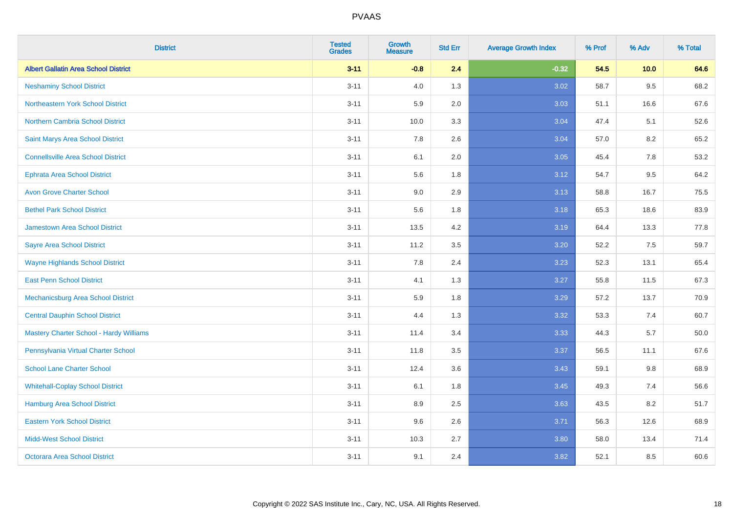| <b>District</b>                                | <b>Tested</b><br><b>Grades</b> | <b>Growth</b><br><b>Measure</b> | <b>Std Err</b> | <b>Average Growth Index</b> | % Prof | % Adv   | % Total |
|------------------------------------------------|--------------------------------|---------------------------------|----------------|-----------------------------|--------|---------|---------|
| <b>Albert Gallatin Area School District</b>    | $3 - 11$                       | $-0.8$                          | 2.4            | $-0.32$                     | 54.5   | 10.0    | 64.6    |
| <b>Neshaminy School District</b>               | $3 - 11$                       | 4.0                             | 1.3            | 3.02                        | 58.7   | $9.5\,$ | 68.2    |
| Northeastern York School District              | $3 - 11$                       | 5.9                             | 2.0            | 3.03                        | 51.1   | 16.6    | 67.6    |
| <b>Northern Cambria School District</b>        | $3 - 11$                       | 10.0                            | 3.3            | 3.04                        | 47.4   | 5.1     | 52.6    |
| Saint Marys Area School District               | $3 - 11$                       | 7.8                             | 2.6            | 3.04                        | 57.0   | 8.2     | 65.2    |
| <b>Connellsville Area School District</b>      | $3 - 11$                       | 6.1                             | 2.0            | 3.05                        | 45.4   | 7.8     | 53.2    |
| <b>Ephrata Area School District</b>            | $3 - 11$                       | 5.6                             | 1.8            | 3.12                        | 54.7   | 9.5     | 64.2    |
| <b>Avon Grove Charter School</b>               | $3 - 11$                       | 9.0                             | 2.9            | 3.13                        | 58.8   | 16.7    | 75.5    |
| <b>Bethel Park School District</b>             | $3 - 11$                       | 5.6                             | 1.8            | 3.18                        | 65.3   | 18.6    | 83.9    |
| <b>Jamestown Area School District</b>          | $3 - 11$                       | 13.5                            | 4.2            | 3.19                        | 64.4   | 13.3    | 77.8    |
| <b>Sayre Area School District</b>              | $3 - 11$                       | 11.2                            | 3.5            | 3.20                        | 52.2   | 7.5     | 59.7    |
| <b>Wayne Highlands School District</b>         | $3 - 11$                       | 7.8                             | 2.4            | 3.23                        | 52.3   | 13.1    | 65.4    |
| <b>East Penn School District</b>               | $3 - 11$                       | 4.1                             | 1.3            | 3.27                        | 55.8   | 11.5    | 67.3    |
| <b>Mechanicsburg Area School District</b>      | $3 - 11$                       | 5.9                             | 1.8            | 3.29                        | 57.2   | 13.7    | 70.9    |
| <b>Central Dauphin School District</b>         | $3 - 11$                       | 4.4                             | 1.3            | 3.32                        | 53.3   | 7.4     | 60.7    |
| <b>Mastery Charter School - Hardy Williams</b> | $3 - 11$                       | 11.4                            | 3.4            | 3.33                        | 44.3   | 5.7     | 50.0    |
| Pennsylvania Virtual Charter School            | $3 - 11$                       | 11.8                            | 3.5            | 3.37                        | 56.5   | 11.1    | 67.6    |
| <b>School Lane Charter School</b>              | $3 - 11$                       | 12.4                            | 3.6            | 3.43                        | 59.1   | 9.8     | 68.9    |
| <b>Whitehall-Coplay School District</b>        | $3 - 11$                       | 6.1                             | 1.8            | 3.45                        | 49.3   | 7.4     | 56.6    |
| <b>Hamburg Area School District</b>            | $3 - 11$                       | 8.9                             | 2.5            | 3.63                        | 43.5   | 8.2     | 51.7    |
| <b>Eastern York School District</b>            | $3 - 11$                       | 9.6                             | 2.6            | 3.71                        | 56.3   | 12.6    | 68.9    |
| <b>Midd-West School District</b>               | $3 - 11$                       | 10.3                            | 2.7            | 3.80                        | 58.0   | 13.4    | 71.4    |
| <b>Octorara Area School District</b>           | $3 - 11$                       | 9.1                             | 2.4            | 3.82                        | 52.1   | 8.5     | 60.6    |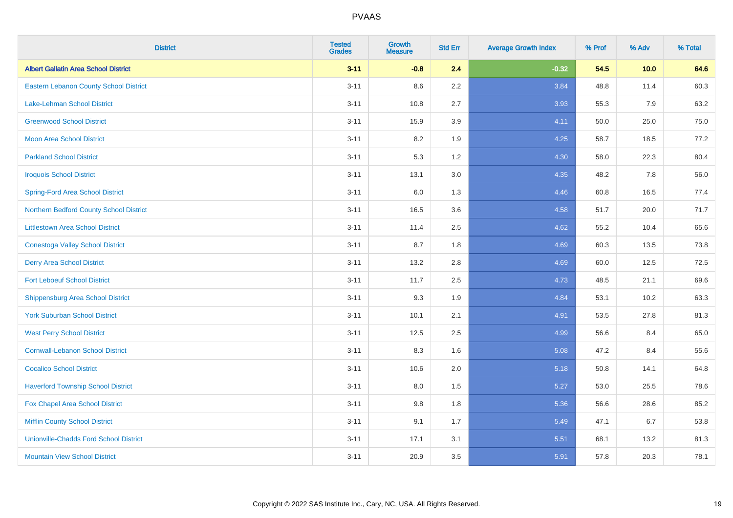| <b>District</b>                               | <b>Tested</b><br><b>Grades</b> | <b>Growth</b><br><b>Measure</b> | <b>Std Err</b> | <b>Average Growth Index</b> | % Prof | % Adv | % Total |
|-----------------------------------------------|--------------------------------|---------------------------------|----------------|-----------------------------|--------|-------|---------|
| <b>Albert Gallatin Area School District</b>   | $3 - 11$                       | $-0.8$                          | 2.4            | $-0.32$                     | 54.5   | 10.0  | 64.6    |
| <b>Eastern Lebanon County School District</b> | $3 - 11$                       | 8.6                             | $2.2\,$        | 3.84                        | 48.8   | 11.4  | 60.3    |
| Lake-Lehman School District                   | $3 - 11$                       | 10.8                            | 2.7            | 3.93                        | 55.3   | 7.9   | 63.2    |
| <b>Greenwood School District</b>              | $3 - 11$                       | 15.9                            | 3.9            | 4.11                        | 50.0   | 25.0  | 75.0    |
| <b>Moon Area School District</b>              | $3 - 11$                       | 8.2                             | 1.9            | 4.25                        | 58.7   | 18.5  | 77.2    |
| <b>Parkland School District</b>               | $3 - 11$                       | 5.3                             | 1.2            | 4.30                        | 58.0   | 22.3  | 80.4    |
| <b>Iroquois School District</b>               | $3 - 11$                       | 13.1                            | 3.0            | 4.35                        | 48.2   | 7.8   | 56.0    |
| <b>Spring-Ford Area School District</b>       | $3 - 11$                       | 6.0                             | 1.3            | 4.46                        | 60.8   | 16.5  | 77.4    |
| Northern Bedford County School District       | $3 - 11$                       | 16.5                            | 3.6            | 4.58                        | 51.7   | 20.0  | 71.7    |
| <b>Littlestown Area School District</b>       | $3 - 11$                       | 11.4                            | 2.5            | 4.62                        | 55.2   | 10.4  | 65.6    |
| <b>Conestoga Valley School District</b>       | $3 - 11$                       | 8.7                             | 1.8            | 4.69                        | 60.3   | 13.5  | 73.8    |
| <b>Derry Area School District</b>             | $3 - 11$                       | 13.2                            | 2.8            | 4.69                        | 60.0   | 12.5  | 72.5    |
| <b>Fort Leboeuf School District</b>           | $3 - 11$                       | 11.7                            | 2.5            | 4.73                        | 48.5   | 21.1  | 69.6    |
| <b>Shippensburg Area School District</b>      | $3 - 11$                       | 9.3                             | 1.9            | 4.84                        | 53.1   | 10.2  | 63.3    |
| <b>York Suburban School District</b>          | $3 - 11$                       | 10.1                            | 2.1            | 4.91                        | 53.5   | 27.8  | 81.3    |
| <b>West Perry School District</b>             | $3 - 11$                       | 12.5                            | 2.5            | 4.99                        | 56.6   | 8.4   | 65.0    |
| <b>Cornwall-Lebanon School District</b>       | $3 - 11$                       | 8.3                             | 1.6            | 5.08                        | 47.2   | 8.4   | 55.6    |
| <b>Cocalico School District</b>               | $3 - 11$                       | 10.6                            | 2.0            | 5.18                        | 50.8   | 14.1  | 64.8    |
| <b>Haverford Township School District</b>     | $3 - 11$                       | 8.0                             | 1.5            | 5.27                        | 53.0   | 25.5  | 78.6    |
| Fox Chapel Area School District               | $3 - 11$                       | 9.8                             | 1.8            | 5.36                        | 56.6   | 28.6  | 85.2    |
| <b>Mifflin County School District</b>         | $3 - 11$                       | 9.1                             | 1.7            | 5.49                        | 47.1   | 6.7   | 53.8    |
| <b>Unionville-Chadds Ford School District</b> | $3 - 11$                       | 17.1                            | 3.1            | 5.51                        | 68.1   | 13.2  | 81.3    |
| <b>Mountain View School District</b>          | $3 - 11$                       | 20.9                            | 3.5            | 5.91                        | 57.8   | 20.3  | 78.1    |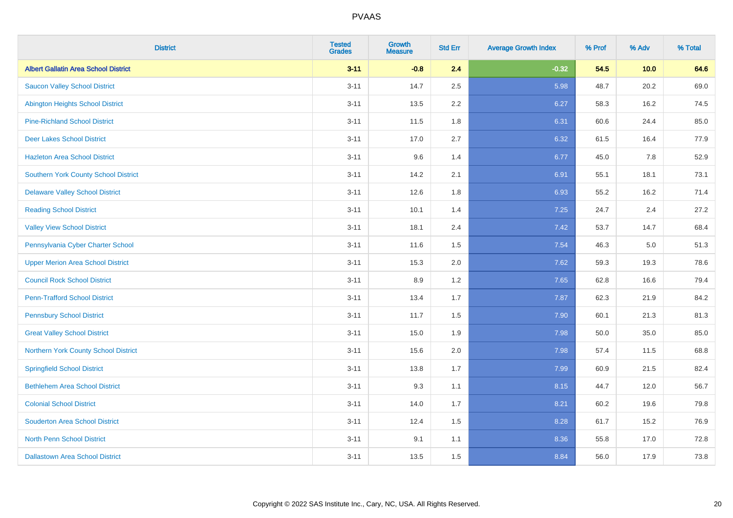| <b>District</b>                             | <b>Tested</b><br><b>Grades</b> | <b>Growth</b><br><b>Measure</b> | <b>Std Err</b> | <b>Average Growth Index</b> | % Prof | % Adv | % Total |
|---------------------------------------------|--------------------------------|---------------------------------|----------------|-----------------------------|--------|-------|---------|
| <b>Albert Gallatin Area School District</b> | $3 - 11$                       | $-0.8$                          | 2.4            | $-0.32$                     | 54.5   | 10.0  | 64.6    |
| <b>Saucon Valley School District</b>        | $3 - 11$                       | 14.7                            | 2.5            | 5.98                        | 48.7   | 20.2  | 69.0    |
| <b>Abington Heights School District</b>     | $3 - 11$                       | 13.5                            | 2.2            | 6.27                        | 58.3   | 16.2  | 74.5    |
| <b>Pine-Richland School District</b>        | $3 - 11$                       | 11.5                            | 1.8            | 6.31                        | 60.6   | 24.4  | 85.0    |
| <b>Deer Lakes School District</b>           | $3 - 11$                       | 17.0                            | 2.7            | 6.32                        | 61.5   | 16.4  | 77.9    |
| <b>Hazleton Area School District</b>        | $3 - 11$                       | 9.6                             | 1.4            | 6.77                        | 45.0   | 7.8   | 52.9    |
| Southern York County School District        | $3 - 11$                       | 14.2                            | 2.1            | 6.91                        | 55.1   | 18.1  | 73.1    |
| <b>Delaware Valley School District</b>      | $3 - 11$                       | 12.6                            | 1.8            | 6.93                        | 55.2   | 16.2  | 71.4    |
| <b>Reading School District</b>              | $3 - 11$                       | 10.1                            | 1.4            | 7.25                        | 24.7   | 2.4   | 27.2    |
| <b>Valley View School District</b>          | $3 - 11$                       | 18.1                            | 2.4            | 7.42                        | 53.7   | 14.7  | 68.4    |
| Pennsylvania Cyber Charter School           | $3 - 11$                       | 11.6                            | 1.5            | 7.54                        | 46.3   | 5.0   | 51.3    |
| <b>Upper Merion Area School District</b>    | $3 - 11$                       | 15.3                            | 2.0            | 7.62                        | 59.3   | 19.3  | 78.6    |
| <b>Council Rock School District</b>         | $3 - 11$                       | 8.9                             | 1.2            | 7.65                        | 62.8   | 16.6  | 79.4    |
| <b>Penn-Trafford School District</b>        | $3 - 11$                       | 13.4                            | 1.7            | 7.87                        | 62.3   | 21.9  | 84.2    |
| <b>Pennsbury School District</b>            | $3 - 11$                       | 11.7                            | 1.5            | 7.90                        | 60.1   | 21.3  | 81.3    |
| <b>Great Valley School District</b>         | $3 - 11$                       | 15.0                            | 1.9            | 7.98                        | 50.0   | 35.0  | 85.0    |
| Northern York County School District        | $3 - 11$                       | 15.6                            | 2.0            | 7.98                        | 57.4   | 11.5  | 68.8    |
| <b>Springfield School District</b>          | $3 - 11$                       | 13.8                            | 1.7            | 7.99                        | 60.9   | 21.5  | 82.4    |
| <b>Bethlehem Area School District</b>       | $3 - 11$                       | 9.3                             | 1.1            | 8.15                        | 44.7   | 12.0  | 56.7    |
| <b>Colonial School District</b>             | $3 - 11$                       | 14.0                            | 1.7            | 8.21                        | 60.2   | 19.6  | 79.8    |
| <b>Souderton Area School District</b>       | $3 - 11$                       | 12.4                            | 1.5            | 8.28                        | 61.7   | 15.2  | 76.9    |
| <b>North Penn School District</b>           | $3 - 11$                       | 9.1                             | 1.1            | 8.36                        | 55.8   | 17.0  | 72.8    |
| <b>Dallastown Area School District</b>      | $3 - 11$                       | 13.5                            | 1.5            | 8.84                        | 56.0   | 17.9  | 73.8    |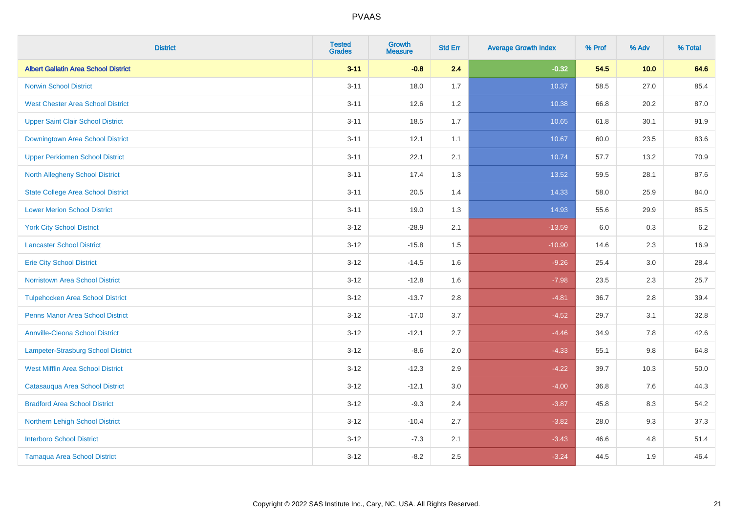| <b>District</b>                             | <b>Tested</b><br><b>Grades</b> | <b>Growth</b><br><b>Measure</b> | <b>Std Err</b> | <b>Average Growth Index</b> | % Prof | % Adv   | % Total |
|---------------------------------------------|--------------------------------|---------------------------------|----------------|-----------------------------|--------|---------|---------|
| <b>Albert Gallatin Area School District</b> | $3 - 11$                       | $-0.8$                          | 2.4            | $-0.32$                     | 54.5   | 10.0    | 64.6    |
| <b>Norwin School District</b>               | $3 - 11$                       | 18.0                            | 1.7            | 10.37                       | 58.5   | 27.0    | 85.4    |
| <b>West Chester Area School District</b>    | $3 - 11$                       | 12.6                            | $1.2$          | 10.38                       | 66.8   | 20.2    | 87.0    |
| <b>Upper Saint Clair School District</b>    | $3 - 11$                       | 18.5                            | 1.7            | 10.65                       | 61.8   | 30.1    | 91.9    |
| Downingtown Area School District            | $3 - 11$                       | 12.1                            | 1.1            | 10.67                       | 60.0   | 23.5    | 83.6    |
| <b>Upper Perkiomen School District</b>      | $3 - 11$                       | 22.1                            | 2.1            | 10.74                       | 57.7   | 13.2    | 70.9    |
| North Allegheny School District             | $3 - 11$                       | 17.4                            | 1.3            | 13.52                       | 59.5   | 28.1    | 87.6    |
| <b>State College Area School District</b>   | $3 - 11$                       | 20.5                            | 1.4            | 14.33                       | 58.0   | 25.9    | 84.0    |
| <b>Lower Merion School District</b>         | $3 - 11$                       | 19.0                            | 1.3            | 14.93                       | 55.6   | 29.9    | 85.5    |
| <b>York City School District</b>            | $3 - 12$                       | $-28.9$                         | 2.1            | $-13.59$                    | 6.0    | 0.3     | 6.2     |
| <b>Lancaster School District</b>            | $3 - 12$                       | $-15.8$                         | 1.5            | $-10.90$                    | 14.6   | 2.3     | 16.9    |
| <b>Erie City School District</b>            | $3 - 12$                       | $-14.5$                         | 1.6            | $-9.26$                     | 25.4   | 3.0     | 28.4    |
| Norristown Area School District             | $3-12$                         | $-12.8$                         | 1.6            | $-7.98$                     | 23.5   | $2.3\,$ | 25.7    |
| <b>Tulpehocken Area School District</b>     | $3 - 12$                       | $-13.7$                         | 2.8            | $-4.81$                     | 36.7   | 2.8     | 39.4    |
| <b>Penns Manor Area School District</b>     | $3 - 12$                       | $-17.0$                         | 3.7            | $-4.52$                     | 29.7   | 3.1     | 32.8    |
| <b>Annville-Cleona School District</b>      | $3 - 12$                       | $-12.1$                         | 2.7            | $-4.46$                     | 34.9   | 7.8     | 42.6    |
| Lampeter-Strasburg School District          | $3 - 12$                       | $-8.6$                          | 2.0            | $-4.33$                     | 55.1   | 9.8     | 64.8    |
| <b>West Mifflin Area School District</b>    | $3 - 12$                       | $-12.3$                         | 2.9            | $-4.22$                     | 39.7   | 10.3    | 50.0    |
| Catasauqua Area School District             | $3 - 12$                       | $-12.1$                         | 3.0            | $-4.00$                     | 36.8   | 7.6     | 44.3    |
| <b>Bradford Area School District</b>        | $3 - 12$                       | $-9.3$                          | 2.4            | $-3.87$                     | 45.8   | 8.3     | 54.2    |
| Northern Lehigh School District             | $3 - 12$                       | $-10.4$                         | 2.7            | $-3.82$                     | 28.0   | 9.3     | 37.3    |
| <b>Interboro School District</b>            | $3 - 12$                       | $-7.3$                          | 2.1            | $-3.43$                     | 46.6   | 4.8     | 51.4    |
| <b>Tamaqua Area School District</b>         | $3-12$                         | $-8.2$                          | 2.5            | $-3.24$                     | 44.5   | 1.9     | 46.4    |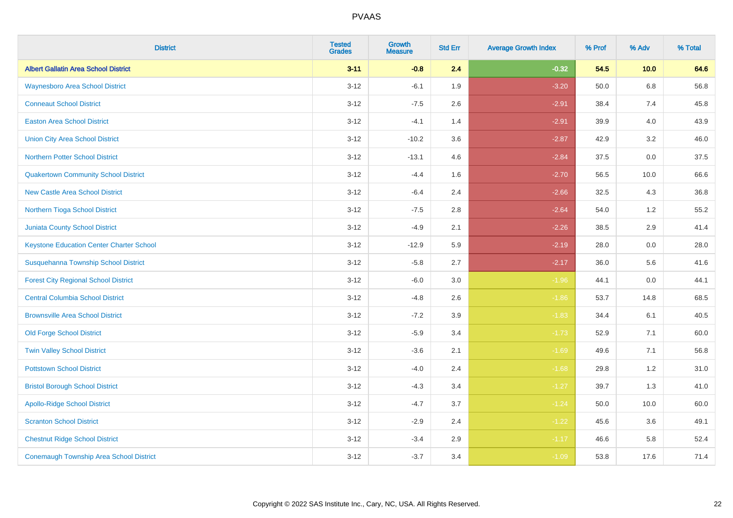| <b>District</b>                                 | <b>Tested</b><br><b>Grades</b> | <b>Growth</b><br><b>Measure</b> | <b>Std Err</b> | <b>Average Growth Index</b> | % Prof | % Adv   | % Total |
|-------------------------------------------------|--------------------------------|---------------------------------|----------------|-----------------------------|--------|---------|---------|
| <b>Albert Gallatin Area School District</b>     | $3 - 11$                       | $-0.8$                          | 2.4            | $-0.32$                     | 54.5   | 10.0    | 64.6    |
| <b>Waynesboro Area School District</b>          | $3 - 12$                       | $-6.1$                          | 1.9            | $-3.20$                     | 50.0   | $6.8\,$ | 56.8    |
| <b>Conneaut School District</b>                 | $3 - 12$                       | $-7.5$                          | 2.6            | $-2.91$                     | 38.4   | 7.4     | 45.8    |
| <b>Easton Area School District</b>              | $3 - 12$                       | $-4.1$                          | 1.4            | $-2.91$                     | 39.9   | 4.0     | 43.9    |
| <b>Union City Area School District</b>          | $3-12$                         | $-10.2$                         | 3.6            | $-2.87$                     | 42.9   | 3.2     | 46.0    |
| <b>Northern Potter School District</b>          | $3 - 12$                       | $-13.1$                         | 4.6            | $-2.84$                     | 37.5   | 0.0     | 37.5    |
| <b>Quakertown Community School District</b>     | $3 - 12$                       | $-4.4$                          | 1.6            | $-2.70$                     | 56.5   | 10.0    | 66.6    |
| <b>New Castle Area School District</b>          | $3 - 12$                       | $-6.4$                          | 2.4            | $-2.66$                     | 32.5   | 4.3     | 36.8    |
| Northern Tioga School District                  | $3 - 12$                       | $-7.5$                          | 2.8            | $-2.64$                     | 54.0   | 1.2     | 55.2    |
| <b>Juniata County School District</b>           | $3 - 12$                       | $-4.9$                          | 2.1            | $-2.26$                     | 38.5   | 2.9     | 41.4    |
| <b>Keystone Education Center Charter School</b> | $3 - 12$                       | $-12.9$                         | 5.9            | $-2.19$                     | 28.0   | 0.0     | 28.0    |
| Susquehanna Township School District            | $3 - 12$                       | $-5.8$                          | 2.7            | $-2.17$                     | 36.0   | 5.6     | 41.6    |
| <b>Forest City Regional School District</b>     | $3 - 12$                       | $-6.0$                          | $3.0\,$        | $-1.96$                     | 44.1   | $0.0\,$ | 44.1    |
| <b>Central Columbia School District</b>         | $3 - 12$                       | $-4.8$                          | 2.6            | $-1.86$                     | 53.7   | 14.8    | 68.5    |
| <b>Brownsville Area School District</b>         | $3 - 12$                       | $-7.2$                          | 3.9            | $-1.83$                     | 34.4   | 6.1     | 40.5    |
| <b>Old Forge School District</b>                | $3 - 12$                       | $-5.9$                          | 3.4            | $-1.73$                     | 52.9   | 7.1     | 60.0    |
| <b>Twin Valley School District</b>              | $3 - 12$                       | $-3.6$                          | 2.1            | $-1.69$                     | 49.6   | 7.1     | 56.8    |
| <b>Pottstown School District</b>                | $3 - 12$                       | $-4.0$                          | 2.4            | $-1.68$                     | 29.8   | 1.2     | 31.0    |
| <b>Bristol Borough School District</b>          | $3 - 12$                       | $-4.3$                          | 3.4            | $-1.27$                     | 39.7   | 1.3     | 41.0    |
| <b>Apollo-Ridge School District</b>             | $3 - 12$                       | $-4.7$                          | 3.7            | $-1.24$                     | 50.0   | 10.0    | 60.0    |
| <b>Scranton School District</b>                 | $3-12$                         | $-2.9$                          | 2.4            | $-1.22$                     | 45.6   | 3.6     | 49.1    |
| <b>Chestnut Ridge School District</b>           | $3 - 12$                       | $-3.4$                          | 2.9            | $-1.17$                     | 46.6   | 5.8     | 52.4    |
| <b>Conemaugh Township Area School District</b>  | $3-12$                         | $-3.7$                          | 3.4            | $-1.09$                     | 53.8   | 17.6    | 71.4    |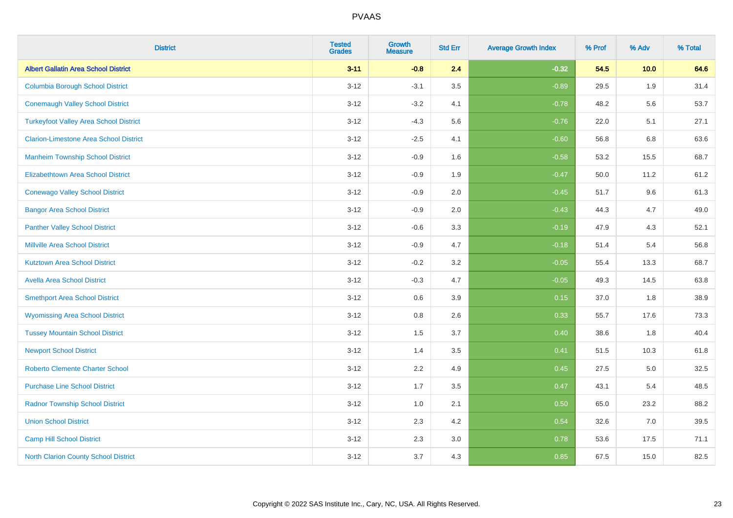| <b>District</b>                               | <b>Tested</b><br><b>Grades</b> | <b>Growth</b><br><b>Measure</b> | <b>Std Err</b> | <b>Average Growth Index</b> | % Prof | % Adv | % Total |
|-----------------------------------------------|--------------------------------|---------------------------------|----------------|-----------------------------|--------|-------|---------|
| <b>Albert Gallatin Area School District</b>   | $3 - 11$                       | $-0.8$                          | 2.4            | $-0.32$                     | 54.5   | 10.0  | 64.6    |
| <b>Columbia Borough School District</b>       | $3 - 12$                       | $-3.1$                          | 3.5            | $-0.89$                     | 29.5   | 1.9   | 31.4    |
| <b>Conemaugh Valley School District</b>       | $3 - 12$                       | $-3.2$                          | 4.1            | $-0.78$                     | 48.2   | 5.6   | 53.7    |
| <b>Turkeyfoot Valley Area School District</b> | $3 - 12$                       | $-4.3$                          | 5.6            | $-0.76$                     | 22.0   | 5.1   | 27.1    |
| <b>Clarion-Limestone Area School District</b> | $3 - 12$                       | $-2.5$                          | 4.1            | $-0.60$                     | 56.8   | 6.8   | 63.6    |
| <b>Manheim Township School District</b>       | $3 - 12$                       | $-0.9$                          | 1.6            | $-0.58$                     | 53.2   | 15.5  | 68.7    |
| Elizabethtown Area School District            | $3 - 12$                       | $-0.9$                          | 1.9            | $-0.47$                     | 50.0   | 11.2  | 61.2    |
| <b>Conewago Valley School District</b>        | $3 - 12$                       | $-0.9$                          | 2.0            | $-0.45$                     | 51.7   | 9.6   | 61.3    |
| <b>Bangor Area School District</b>            | $3 - 12$                       | $-0.9$                          | 2.0            | $-0.43$                     | 44.3   | 4.7   | 49.0    |
| <b>Panther Valley School District</b>         | $3 - 12$                       | $-0.6$                          | 3.3            | $-0.19$                     | 47.9   | 4.3   | 52.1    |
| <b>Millville Area School District</b>         | $3 - 12$                       | $-0.9$                          | 4.7            | $-0.18$                     | 51.4   | 5.4   | 56.8    |
| <b>Kutztown Area School District</b>          | $3 - 12$                       | $-0.2$                          | 3.2            | $-0.05$                     | 55.4   | 13.3  | 68.7    |
| <b>Avella Area School District</b>            | $3 - 12$                       | $-0.3$                          | 4.7            | $-0.05$                     | 49.3   | 14.5  | 63.8    |
| <b>Smethport Area School District</b>         | $3 - 12$                       | 0.6                             | 3.9            | 0.15                        | 37.0   | 1.8   | 38.9    |
| <b>Wyomissing Area School District</b>        | $3 - 12$                       | 0.8                             | 2.6            | 0.33                        | 55.7   | 17.6  | 73.3    |
| <b>Tussey Mountain School District</b>        | $3 - 12$                       | 1.5                             | 3.7            | 0.40                        | 38.6   | 1.8   | 40.4    |
| <b>Newport School District</b>                | $3 - 12$                       | 1.4                             | 3.5            | 0.41                        | 51.5   | 10.3  | 61.8    |
| <b>Roberto Clemente Charter School</b>        | $3 - 12$                       | 2.2                             | 4.9            | 0.45                        | 27.5   | 5.0   | 32.5    |
| <b>Purchase Line School District</b>          | $3 - 12$                       | 1.7                             | 3.5            | 0.47                        | 43.1   | 5.4   | 48.5    |
| <b>Radnor Township School District</b>        | $3 - 12$                       | 1.0                             | 2.1            | 0.50                        | 65.0   | 23.2  | 88.2    |
| <b>Union School District</b>                  | $3 - 12$                       | 2.3                             | 4.2            | 0.54                        | 32.6   | 7.0   | 39.5    |
| <b>Camp Hill School District</b>              | $3 - 12$                       | 2.3                             | 3.0            | 0.78                        | 53.6   | 17.5  | 71.1    |
| North Clarion County School District          | $3 - 12$                       | 3.7                             | 4.3            | 0.85                        | 67.5   | 15.0  | 82.5    |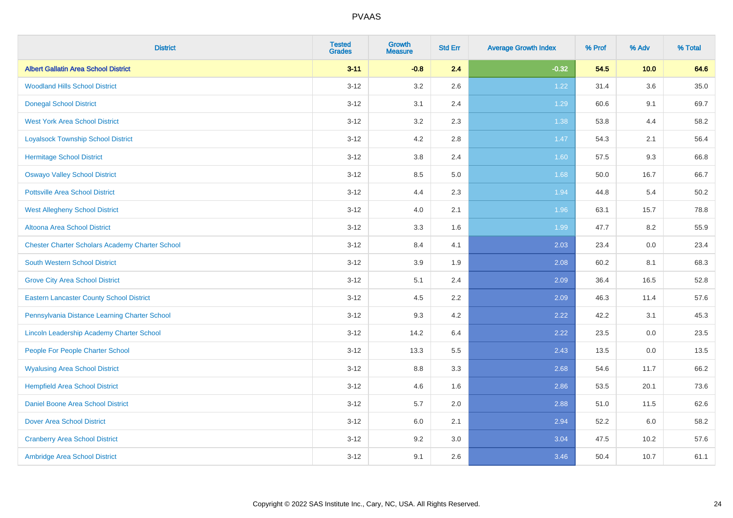| <b>District</b>                                        | <b>Tested</b><br><b>Grades</b> | <b>Growth</b><br><b>Measure</b> | <b>Std Err</b> | <b>Average Growth Index</b> | % Prof | % Adv   | % Total  |
|--------------------------------------------------------|--------------------------------|---------------------------------|----------------|-----------------------------|--------|---------|----------|
| <b>Albert Gallatin Area School District</b>            | $3 - 11$                       | $-0.8$                          | 2.4            | $-0.32$                     | 54.5   | 10.0    | 64.6     |
| <b>Woodland Hills School District</b>                  | $3 - 12$                       | 3.2                             | 2.6            | 1.22                        | 31.4   | $3.6\,$ | $35.0\,$ |
| <b>Donegal School District</b>                         | $3 - 12$                       | 3.1                             | 2.4            | 1.29                        | 60.6   | 9.1     | 69.7     |
| <b>West York Area School District</b>                  | $3 - 12$                       | 3.2                             | 2.3            | 1.38                        | 53.8   | 4.4     | 58.2     |
| <b>Loyalsock Township School District</b>              | $3 - 12$                       | 4.2                             | 2.8            | $1.47$                      | 54.3   | 2.1     | 56.4     |
| <b>Hermitage School District</b>                       | $3 - 12$                       | 3.8                             | 2.4            | 1.60                        | 57.5   | 9.3     | 66.8     |
| <b>Oswayo Valley School District</b>                   | $3 - 12$                       | 8.5                             | 5.0            | 1.68                        | 50.0   | 16.7    | 66.7     |
| <b>Pottsville Area School District</b>                 | $3 - 12$                       | 4.4                             | 2.3            | 1.94                        | 44.8   | 5.4     | 50.2     |
| <b>West Allegheny School District</b>                  | $3 - 12$                       | 4.0                             | 2.1            | 1.96                        | 63.1   | 15.7    | 78.8     |
| Altoona Area School District                           | $3 - 12$                       | 3.3                             | 1.6            | 1.99                        | 47.7   | 8.2     | 55.9     |
| <b>Chester Charter Scholars Academy Charter School</b> | $3 - 12$                       | 8.4                             | 4.1            | 2.03                        | 23.4   | 0.0     | 23.4     |
| South Western School District                          | $3 - 12$                       | 3.9                             | 1.9            | 2.08                        | 60.2   | 8.1     | 68.3     |
| <b>Grove City Area School District</b>                 | $3 - 12$                       | 5.1                             | 2.4            | 2.09                        | 36.4   | 16.5    | 52.8     |
| <b>Eastern Lancaster County School District</b>        | $3 - 12$                       | 4.5                             | 2.2            | 2.09                        | 46.3   | 11.4    | 57.6     |
| Pennsylvania Distance Learning Charter School          | $3 - 12$                       | 9.3                             | 4.2            | 2.22                        | 42.2   | 3.1     | 45.3     |
| Lincoln Leadership Academy Charter School              | $3 - 12$                       | 14.2                            | 6.4            | 2.22                        | 23.5   | $0.0\,$ | 23.5     |
| People For People Charter School                       | $3 - 12$                       | 13.3                            | 5.5            | 2.43                        | 13.5   | 0.0     | 13.5     |
| <b>Wyalusing Area School District</b>                  | $3 - 12$                       | 8.8                             | 3.3            | 2.68                        | 54.6   | 11.7    | 66.2     |
| <b>Hempfield Area School District</b>                  | $3 - 12$                       | 4.6                             | 1.6            | 2.86                        | 53.5   | 20.1    | 73.6     |
| <b>Daniel Boone Area School District</b>               | $3 - 12$                       | 5.7                             | 2.0            | 2.88                        | 51.0   | 11.5    | 62.6     |
| <b>Dover Area School District</b>                      | $3 - 12$                       | 6.0                             | 2.1            | 2.94                        | 52.2   | 6.0     | 58.2     |
| <b>Cranberry Area School District</b>                  | $3 - 12$                       | 9.2                             | 3.0            | 3.04                        | 47.5   | 10.2    | 57.6     |
| Ambridge Area School District                          | $3 - 12$                       | 9.1                             | 2.6            | 3.46                        | 50.4   | 10.7    | 61.1     |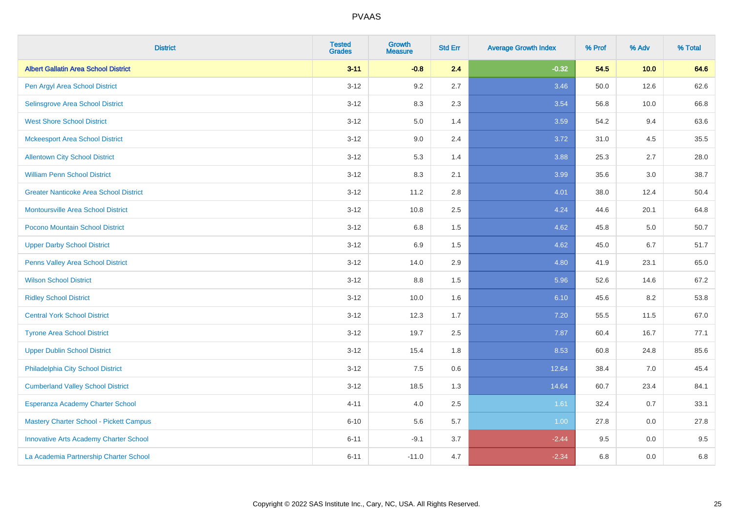| <b>District</b>                               | <b>Tested</b><br><b>Grades</b> | <b>Growth</b><br><b>Measure</b> | <b>Std Err</b> | <b>Average Growth Index</b> | % Prof | % Adv   | % Total |
|-----------------------------------------------|--------------------------------|---------------------------------|----------------|-----------------------------|--------|---------|---------|
| <b>Albert Gallatin Area School District</b>   | $3 - 11$                       | $-0.8$                          | 2.4            | $-0.32$                     | 54.5   | 10.0    | 64.6    |
| Pen Argyl Area School District                | $3 - 12$                       | 9.2                             | 2.7            | 3.46                        | 50.0   | 12.6    | 62.6    |
| Selinsgrove Area School District              | $3 - 12$                       | 8.3                             | 2.3            | 3.54                        | 56.8   | 10.0    | 66.8    |
| <b>West Shore School District</b>             | $3-12$                         | 5.0                             | 1.4            | 3.59                        | 54.2   | 9.4     | 63.6    |
| <b>Mckeesport Area School District</b>        | $3 - 12$                       | 9.0                             | 2.4            | 3.72                        | 31.0   | 4.5     | 35.5    |
| <b>Allentown City School District</b>         | $3 - 12$                       | 5.3                             | 1.4            | 3.88                        | 25.3   | 2.7     | 28.0    |
| <b>William Penn School District</b>           | $3-12$                         | 8.3                             | 2.1            | 3.99                        | 35.6   | 3.0     | 38.7    |
| <b>Greater Nanticoke Area School District</b> | $3 - 12$                       | 11.2                            | 2.8            | 4.01                        | 38.0   | 12.4    | 50.4    |
| Montoursville Area School District            | $3 - 12$                       | 10.8                            | 2.5            | 4.24                        | 44.6   | 20.1    | 64.8    |
| Pocono Mountain School District               | $3 - 12$                       | 6.8                             | 1.5            | 4.62                        | 45.8   | 5.0     | 50.7    |
| <b>Upper Darby School District</b>            | $3 - 12$                       | 6.9                             | 1.5            | 4.62                        | 45.0   | 6.7     | 51.7    |
| Penns Valley Area School District             | $3 - 12$                       | 14.0                            | 2.9            | 4.80                        | 41.9   | 23.1    | 65.0    |
| <b>Wilson School District</b>                 | $3 - 12$                       | 8.8                             | 1.5            | 5.96                        | 52.6   | 14.6    | 67.2    |
| <b>Ridley School District</b>                 | $3 - 12$                       | 10.0                            | 1.6            | 6.10                        | 45.6   | 8.2     | 53.8    |
| <b>Central York School District</b>           | $3 - 12$                       | 12.3                            | 1.7            | $7.20$                      | 55.5   | 11.5    | 67.0    |
| <b>Tyrone Area School District</b>            | $3 - 12$                       | 19.7                            | 2.5            | 7.87                        | 60.4   | 16.7    | 77.1    |
| <b>Upper Dublin School District</b>           | $3 - 12$                       | 15.4                            | 1.8            | 8.53                        | 60.8   | 24.8    | 85.6    |
| Philadelphia City School District             | $3 - 12$                       | 7.5                             | 0.6            | 12.64                       | 38.4   | 7.0     | 45.4    |
| <b>Cumberland Valley School District</b>      | $3 - 12$                       | 18.5                            | 1.3            | 14.64                       | 60.7   | 23.4    | 84.1    |
| Esperanza Academy Charter School              | $4 - 11$                       | 4.0                             | 2.5            | 1.61                        | 32.4   | 0.7     | 33.1    |
| Mastery Charter School - Pickett Campus       | $6 - 10$                       | 5.6                             | 5.7            | 1.00                        | 27.8   | 0.0     | 27.8    |
| <b>Innovative Arts Academy Charter School</b> | $6 - 11$                       | $-9.1$                          | 3.7            | $-2.44$                     | 9.5    | 0.0     | 9.5     |
| La Academia Partnership Charter School        | $6 - 11$                       | $-11.0$                         | 4.7            | $-2.34$                     | 6.8    | $0.0\,$ | $6.8\,$ |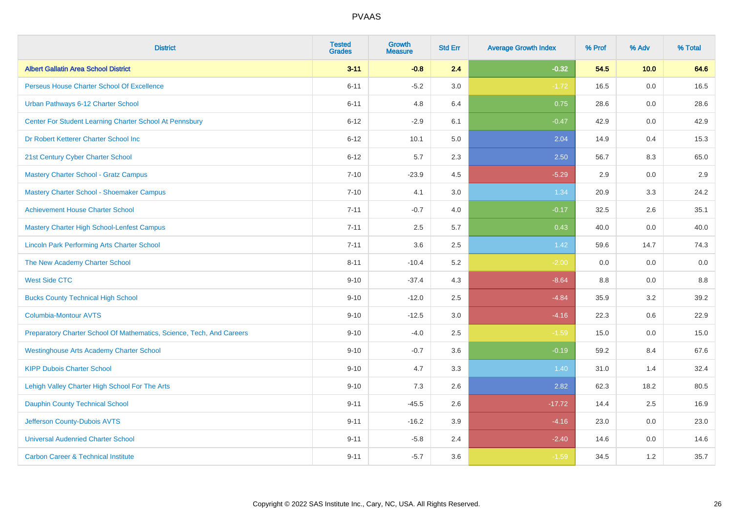| <b>District</b>                                                       | <b>Tested</b><br><b>Grades</b> | <b>Growth</b><br><b>Measure</b> | <b>Std Err</b> | <b>Average Growth Index</b> | % Prof | % Adv | % Total |
|-----------------------------------------------------------------------|--------------------------------|---------------------------------|----------------|-----------------------------|--------|-------|---------|
| <b>Albert Gallatin Area School District</b>                           | $3 - 11$                       | $-0.8$                          | 2.4            | $-0.32$                     | 54.5   | 10.0  | 64.6    |
| Perseus House Charter School Of Excellence                            | $6 - 11$                       | $-5.2$                          | 3.0            | $-1.72$                     | 16.5   | 0.0   | 16.5    |
| Urban Pathways 6-12 Charter School                                    | $6 - 11$                       | 4.8                             | 6.4            | 0.75                        | 28.6   | 0.0   | 28.6    |
| Center For Student Learning Charter School At Pennsbury               | $6 - 12$                       | $-2.9$                          | 6.1            | $-0.47$                     | 42.9   | 0.0   | 42.9    |
| Dr Robert Ketterer Charter School Inc                                 | $6 - 12$                       | 10.1                            | 5.0            | 2.04                        | 14.9   | 0.4   | 15.3    |
| 21st Century Cyber Charter School                                     | $6 - 12$                       | 5.7                             | 2.3            | 2.50                        | 56.7   | 8.3   | 65.0    |
| <b>Mastery Charter School - Gratz Campus</b>                          | $7 - 10$                       | $-23.9$                         | 4.5            | $-5.29$                     | 2.9    | 0.0   | 2.9     |
| Mastery Charter School - Shoemaker Campus                             | $7 - 10$                       | 4.1                             | 3.0            | 1.34                        | 20.9   | 3.3   | 24.2    |
| <b>Achievement House Charter School</b>                               | $7 - 11$                       | $-0.7$                          | 4.0            | $-0.17$                     | 32.5   | 2.6   | 35.1    |
| <b>Mastery Charter High School-Lenfest Campus</b>                     | $7 - 11$                       | 2.5                             | 5.7            | 0.43                        | 40.0   | 0.0   | 40.0    |
| <b>Lincoln Park Performing Arts Charter School</b>                    | $7 - 11$                       | 3.6                             | 2.5            | 1.42                        | 59.6   | 14.7  | 74.3    |
| The New Academy Charter School                                        | $8 - 11$                       | $-10.4$                         | 5.2            | $-2.00$                     | 0.0    | 0.0   | 0.0     |
| <b>West Side CTC</b>                                                  | $9 - 10$                       | $-37.4$                         | 4.3            | $-8.64$                     | 8.8    | 0.0   | 8.8     |
| <b>Bucks County Technical High School</b>                             | $9 - 10$                       | $-12.0$                         | 2.5            | $-4.84$                     | 35.9   | 3.2   | 39.2    |
| <b>Columbia-Montour AVTS</b>                                          | $9 - 10$                       | $-12.5$                         | 3.0            | $-4.16$                     | 22.3   | 0.6   | 22.9    |
| Preparatory Charter School Of Mathematics, Science, Tech, And Careers | $9 - 10$                       | $-4.0$                          | 2.5            | $-1.59$                     | 15.0   | 0.0   | 15.0    |
| <b>Westinghouse Arts Academy Charter School</b>                       | $9 - 10$                       | $-0.7$                          | 3.6            | $-0.19$                     | 59.2   | 8.4   | 67.6    |
| <b>KIPP Dubois Charter School</b>                                     | $9 - 10$                       | 4.7                             | 3.3            | 1.40                        | 31.0   | 1.4   | 32.4    |
| Lehigh Valley Charter High School For The Arts                        | $9 - 10$                       | 7.3                             | 2.6            | 2.82                        | 62.3   | 18.2  | 80.5    |
| <b>Dauphin County Technical School</b>                                | $9 - 11$                       | $-45.5$                         | 2.6            | $-17.72$                    | 14.4   | 2.5   | 16.9    |
| Jefferson County-Dubois AVTS                                          | $9 - 11$                       | $-16.2$                         | 3.9            | $-4.16$                     | 23.0   | 0.0   | 23.0    |
| <b>Universal Audenried Charter School</b>                             | $9 - 11$                       | $-5.8$                          | 2.4            | $-2.40$                     | 14.6   | 0.0   | 14.6    |
| <b>Carbon Career &amp; Technical Institute</b>                        | $9 - 11$                       | $-5.7$                          | 3.6            | $-1.59$                     | 34.5   | 1.2   | 35.7    |